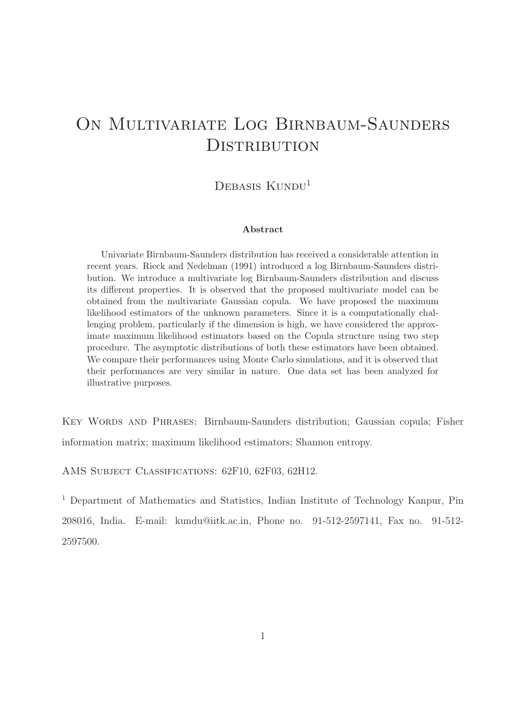# ON MULTIVARIATE LOG BIRNBAUM-SAUNDERS **DISTRIBUTION**

### DEBASIS KUNDU<sup>1</sup>

#### Abstract

Univariate Birnbaum-Saunders distribution has received a considerable attention in recent years. Rieck and Nedelman (1991) introduced a log Birnbaum-Saunders distribution. We introduce a multivariate log Birnbaum-Saunders distribution and discuss its different properties. It is observed that the proposed multivariate model can be obtained from the multivariate Gaussian copula. We have proposed the maximum likelihood estimators of the unknown parameters. Since it is a computationally challenging problem, particularly if the dimension is high, we have considered the approximate maximum likelihood estimators based on the Copula structure using two step procedure. The asymptotic distributions of both these estimators have been obtained. We compare their performances using Monte Carlo simulations, and it is observed that their performances are very similar in nature. One data set has been analyzed for illustrative purposes.

Key Words and Phrases: Birnbaum-Saunders distribution; Gaussian copula; Fisher information matrix; maximum likelihood estimators; Shannon entropy.

AMS SUBJECT CLASSIFICATIONS: 62F10, 62F03, 62H12.

<sup>1</sup> Department of Mathematics and Statistics, Indian Institute of Technology Kanpur, Pin 208016, India. E-mail: kundu@iitk.ac.in, Phone no. 91-512-2597141, Fax no. 91-512- 2597500.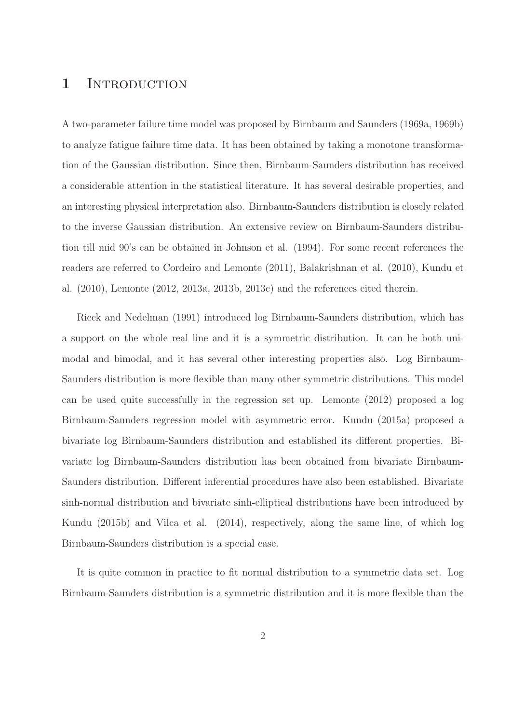### 1 INTRODUCTION

A two-parameter failure time model was proposed by Birnbaum and Saunders (1969a, 1969b) to analyze fatigue failure time data. It has been obtained by taking a monotone transformation of the Gaussian distribution. Since then, Birnbaum-Saunders distribution has received a considerable attention in the statistical literature. It has several desirable properties, and an interesting physical interpretation also. Birnbaum-Saunders distribution is closely related to the inverse Gaussian distribution. An extensive review on Birnbaum-Saunders distribution till mid 90's can be obtained in Johnson et al. (1994). For some recent references the readers are referred to Cordeiro and Lemonte (2011), Balakrishnan et al. (2010), Kundu et al. (2010), Lemonte (2012, 2013a, 2013b, 2013c) and the references cited therein.

Rieck and Nedelman (1991) introduced log Birnbaum-Saunders distribution, which has a support on the whole real line and it is a symmetric distribution. It can be both unimodal and bimodal, and it has several other interesting properties also. Log Birnbaum-Saunders distribution is more flexible than many other symmetric distributions. This model can be used quite successfully in the regression set up. Lemonte (2012) proposed a log Birnbaum-Saunders regression model with asymmetric error. Kundu (2015a) proposed a bivariate log Birnbaum-Saunders distribution and established its different properties. Bivariate log Birnbaum-Saunders distribution has been obtained from bivariate Birnbaum-Saunders distribution. Different inferential procedures have also been established. Bivariate sinh-normal distribution and bivariate sinh-elliptical distributions have been introduced by Kundu (2015b) and Vilca et al. (2014), respectively, along the same line, of which log Birnbaum-Saunders distribution is a special case.

It is quite common in practice to fit normal distribution to a symmetric data set. Log Birnbaum-Saunders distribution is a symmetric distribution and it is more flexible than the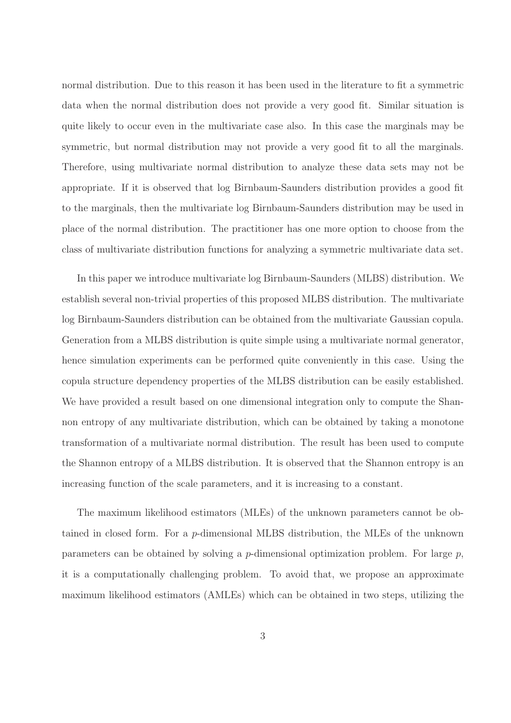normal distribution. Due to this reason it has been used in the literature to fit a symmetric data when the normal distribution does not provide a very good fit. Similar situation is quite likely to occur even in the multivariate case also. In this case the marginals may be symmetric, but normal distribution may not provide a very good fit to all the marginals. Therefore, using multivariate normal distribution to analyze these data sets may not be appropriate. If it is observed that log Birnbaum-Saunders distribution provides a good fit to the marginals, then the multivariate log Birnbaum-Saunders distribution may be used in place of the normal distribution. The practitioner has one more option to choose from the class of multivariate distribution functions for analyzing a symmetric multivariate data set.

In this paper we introduce multivariate log Birnbaum-Saunders (MLBS) distribution. We establish several non-trivial properties of this proposed MLBS distribution. The multivariate log Birnbaum-Saunders distribution can be obtained from the multivariate Gaussian copula. Generation from a MLBS distribution is quite simple using a multivariate normal generator, hence simulation experiments can be performed quite conveniently in this case. Using the copula structure dependency properties of the MLBS distribution can be easily established. We have provided a result based on one dimensional integration only to compute the Shannon entropy of any multivariate distribution, which can be obtained by taking a monotone transformation of a multivariate normal distribution. The result has been used to compute the Shannon entropy of a MLBS distribution. It is observed that the Shannon entropy is an increasing function of the scale parameters, and it is increasing to a constant.

The maximum likelihood estimators (MLEs) of the unknown parameters cannot be obtained in closed form. For a p-dimensional MLBS distribution, the MLEs of the unknown parameters can be obtained by solving a p-dimensional optimization problem. For large  $p$ , it is a computationally challenging problem. To avoid that, we propose an approximate maximum likelihood estimators (AMLEs) which can be obtained in two steps, utilizing the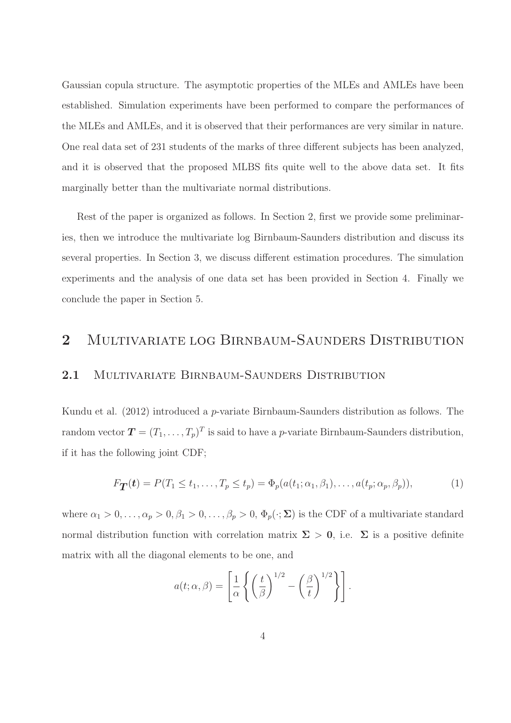Gaussian copula structure. The asymptotic properties of the MLEs and AMLEs have been established. Simulation experiments have been performed to compare the performances of the MLEs and AMLEs, and it is observed that their performances are very similar in nature. One real data set of 231 students of the marks of three different subjects has been analyzed, and it is observed that the proposed MLBS fits quite well to the above data set. It fits marginally better than the multivariate normal distributions.

Rest of the paper is organized as follows. In Section 2, first we provide some preliminaries, then we introduce the multivariate log Birnbaum-Saunders distribution and discuss its several properties. In Section 3, we discuss different estimation procedures. The simulation experiments and the analysis of one data set has been provided in Section 4. Finally we conclude the paper in Section 5.

## 2 MULTIVARIATE LOG BIRNBAUM-SAUNDERS DISTRIBUTION

#### 2.1 MULTIVARIATE BIRNBAUM-SAUNDERS DISTRIBUTION

Kundu et al. (2012) introduced a p-variate Birnbaum-Saunders distribution as follows. The random vector  $\boldsymbol{T} = (T_1, \ldots, T_p)^T$  is said to have a p-variate Birnbaum-Saunders distribution, if it has the following joint CDF;

$$
F_{\mathbf{T}}(\boldsymbol{t}) = P(T_1 \le t_1, \dots, T_p \le t_p) = \Phi_p(a(t_1; \alpha_1, \beta_1), \dots, a(t_p; \alpha_p, \beta_p)), \tag{1}
$$

where  $\alpha_1 > 0, \ldots, \alpha_p > 0, \beta_1 > 0, \ldots, \beta_p > 0, \Phi_p(\cdot; \Sigma)$  is the CDF of a multivariate standard normal distribution function with correlation matrix  $\Sigma > 0$ , i.e.  $\Sigma$  is a positive definite matrix with all the diagonal elements to be one, and

$$
a(t; \alpha, \beta) = \left[\frac{1}{\alpha} \left\{ \left(\frac{t}{\beta}\right)^{1/2} - \left(\frac{\beta}{t}\right)^{1/2} \right\} \right].
$$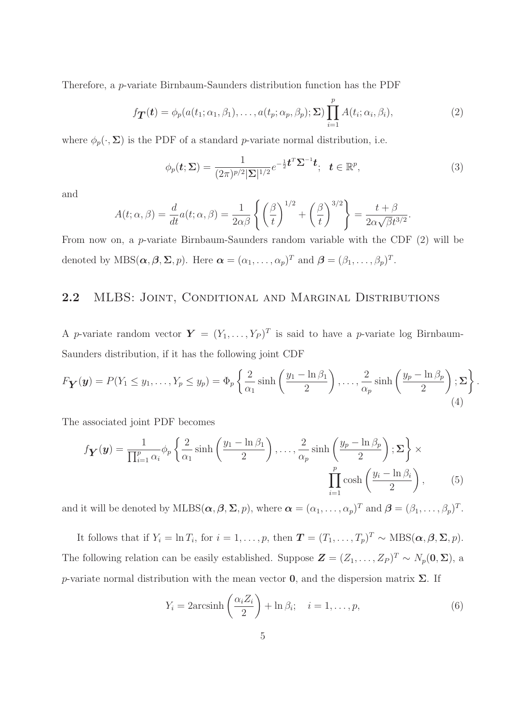Therefore, a p-variate Birnbaum-Saunders distribution function has the PDF

$$
f_{\mathbf{T}}(\boldsymbol{t}) = \phi_p(a(t_1; \alpha_1, \beta_1), \dots, a(t_p; \alpha_p, \beta_p); \boldsymbol{\Sigma}) \prod_{i=1}^p A(t_i; \alpha_i, \beta_i),
$$
\n(2)

where  $\phi_p(\cdot, \Sigma)$  is the PDF of a standard *p*-variate normal distribution, i.e.

$$
\phi_p(\boldsymbol{t};\boldsymbol{\Sigma}) = \frac{1}{(2\pi)^{p/2}|\boldsymbol{\Sigma}|^{1/2}} e^{-\frac{1}{2}\boldsymbol{t}^T \boldsymbol{\Sigma}^{-1} \boldsymbol{t}}; \quad \boldsymbol{t} \in \mathbb{R}^p,
$$
\n(3)

.

and

$$
A(t; \alpha, \beta) = \frac{d}{dt} a(t; \alpha, \beta) = \frac{1}{2\alpha\beta} \left\{ \left(\frac{\beta}{t}\right)^{1/2} + \left(\frac{\beta}{t}\right)^{3/2} \right\} = \frac{t + \beta}{2\alpha\sqrt{\beta}t^{3/2}}.
$$

From now on, a p-variate Birnbaum-Saunders random variable with the CDF (2) will be denoted by  $\text{MBS}(\boldsymbol{\alpha}, \boldsymbol{\beta}, \boldsymbol{\Sigma}, p)$ . Here  $\boldsymbol{\alpha} = (\alpha_1, \dots, \alpha_p)^T$  and  $\boldsymbol{\beta} = (\beta_1, \dots, \beta_p)^T$ .

#### 2.2 MLBS: JOINT, CONDITIONAL AND MARGINAL DISTRIBUTIONS

A p-variate random vector  $\boldsymbol{Y} = (Y_1, \ldots, Y_P)^T$  is said to have a p-variate log Birnbaum-Saunders distribution, if it has the following joint CDF

$$
F_{\mathbf{Y}}(\mathbf{y}) = P(Y_1 \le y_1, \dots, Y_p \le y_p) = \Phi_p \left\{ \frac{2}{\alpha_1} \sinh\left(\frac{y_1 - \ln \beta_1}{2}\right), \dots, \frac{2}{\alpha_p} \sinh\left(\frac{y_p - \ln \beta_p}{2}\right); \Sigma \right\}
$$
(4)

The associated joint PDF becomes

$$
f_{\mathbf{Y}}(\mathbf{y}) = \frac{1}{\prod_{i=1}^{p} \alpha_i} \phi_p \left\{ \frac{2}{\alpha_1} \sinh\left(\frac{y_1 - \ln \beta_1}{2}\right), \dots, \frac{2}{\alpha_p} \sinh\left(\frac{y_p - \ln \beta_p}{2}\right); \Sigma \right\} \times \prod_{i=1}^{p} \cosh\left(\frac{y_i - \ln \beta_i}{2}\right), \quad (5)
$$

and it will be denoted by  $MLBS(\boldsymbol{\alpha}, \boldsymbol{\beta}, \boldsymbol{\Sigma}, p)$ , where  $\boldsymbol{\alpha} = (\alpha_1, \dots, \alpha_p)^T$  and  $\boldsymbol{\beta} = (\beta_1, \dots, \beta_p)^T$ .

It follows that if  $Y_i = \ln T_i$ , for  $i = 1, \ldots, p$ , then  $\mathbf{T} = (T_1, \ldots, T_p)^T \sim \text{MBS}(\alpha, \beta, \Sigma, p)$ . The following relation can be easily established. Suppose  $\mathbf{Z} = (Z_1, \ldots, Z_P)^T \sim N_p(\mathbf{0}, \Sigma)$ , a p-variate normal distribution with the mean vector  $0$ , and the dispersion matrix  $\Sigma$ . If

$$
Y_i = 2\arcsinh\left(\frac{\alpha_i Z_i}{2}\right) + \ln \beta_i; \quad i = 1, \dots, p,
$$
\n(6)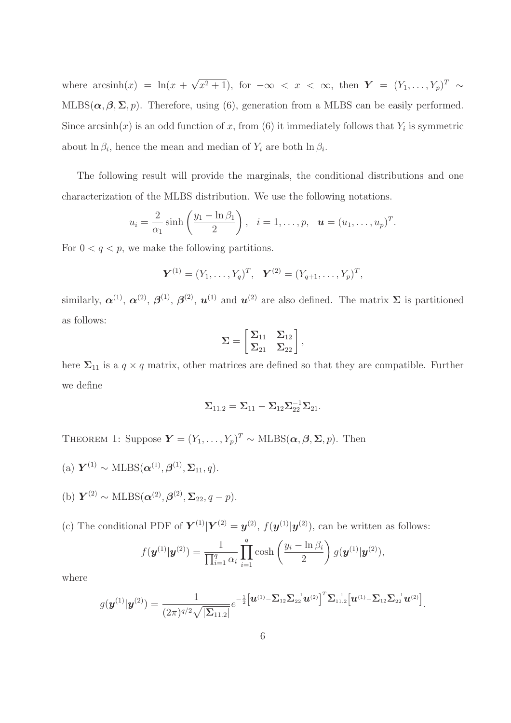where  $arcsinh(x) = ln(x + \sqrt{x^2 + 1})$ , for  $-\infty < x < \infty$ , then  $Y = (Y_1, \ldots, Y_p)^T \sim$ MLBS( $\alpha, \beta, \Sigma, p$ ). Therefore, using (6), generation from a MLBS can be easily performed. Since arcsinh(x) is an odd function of x, from (6) it immediately follows that  $Y_i$  is symmetric about  $\ln \beta_i$ , hence the mean and median of  $Y_i$  are both  $\ln \beta_i$ .

The following result will provide the marginals, the conditional distributions and one characterization of the MLBS distribution. We use the following notations.

$$
u_i = \frac{2}{\alpha_1} \sinh\left(\frac{y_1 - \ln \beta_1}{2}\right), \quad i = 1, \dots, p, \quad \mathbf{u} = (u_1, \dots, u_p)^T.
$$

For  $0 < q < p$ , we make the following partitions.

$$
\mathbf{Y}^{(1)} = (Y_1, \ldots, Y_q)^T, \quad \mathbf{Y}^{(2)} = (Y_{q+1}, \ldots, Y_p)^T,
$$

similarly,  $\alpha^{(1)}$ ,  $\alpha^{(2)}$ ,  $\beta^{(1)}$ ,  $\beta^{(2)}$ ,  $u^{(1)}$  and  $u^{(2)}$  are also defined. The matrix  $\Sigma$  is partitioned as follows:

$$
\Sigma = \begin{bmatrix} \Sigma_{11} & \Sigma_{12} \\ \Sigma_{21} & \Sigma_{22} \end{bmatrix},
$$

here  $\Sigma_{11}$  is a  $q \times q$  matrix, other matrices are defined so that they are compatible. Further we define

$$
\boldsymbol{\Sigma}_{11.2}=\boldsymbol{\Sigma}_{11}-\boldsymbol{\Sigma}_{12}\boldsymbol{\Sigma}_{22}^{-1}\boldsymbol{\Sigma}_{21}.
$$

THEOREM 1: Suppose  $\mathbf{Y} = (Y_1, \ldots, Y_p)^T \sim \text{MLBS}(\alpha, \beta, \Sigma, p)$ . Then

- (a)  $Y^{(1)} \sim \text{MLBS}(\boldsymbol{\alpha}^{(1)}, \boldsymbol{\beta}^{(1)}, \boldsymbol{\Sigma}_{11}, q).$
- (b)  $Y^{(2)} \sim \text{MLBS}(\boldsymbol{\alpha}^{(2)}, \boldsymbol{\beta}^{(2)}, \boldsymbol{\Sigma}_{22}, q-p).$
- (c) The conditional PDF of  $\mathbf{Y}^{(1)}|\mathbf{Y}^{(2)} = \mathbf{y}^{(2)}$ ,  $f(\mathbf{y}^{(1)}|\mathbf{y}^{(2)})$ , can be written as follows:

$$
f(\mathbf{y}^{(1)}|\mathbf{y}^{(2)}) = \frac{1}{\prod_{i=1}^{q} \alpha_i} \prod_{i=1}^{q} \cosh\left(\frac{y_i - \ln \beta_i}{2}\right) g(\mathbf{y}^{(1)}|\mathbf{y}^{(2)}),
$$

where

$$
g(\boldsymbol{y}^{(1)}|\boldsymbol{y}^{(2)})=\frac{1}{(2\pi)^{q/2}\sqrt{|\boldsymbol{\Sigma}_{11.2}|}}e^{-\frac{1}{2}[\boldsymbol{u}^{(1)}-\boldsymbol{\Sigma}_{12}\boldsymbol{\Sigma}_{22}^{-1}\boldsymbol{u}^{(2)}]^T\boldsymbol{\Sigma}_{11.2}^{-1}[\boldsymbol{u}^{(1)}-\boldsymbol{\Sigma}_{12}\boldsymbol{\Sigma}_{22}^{-1}\boldsymbol{u}^{(2)}]}\.
$$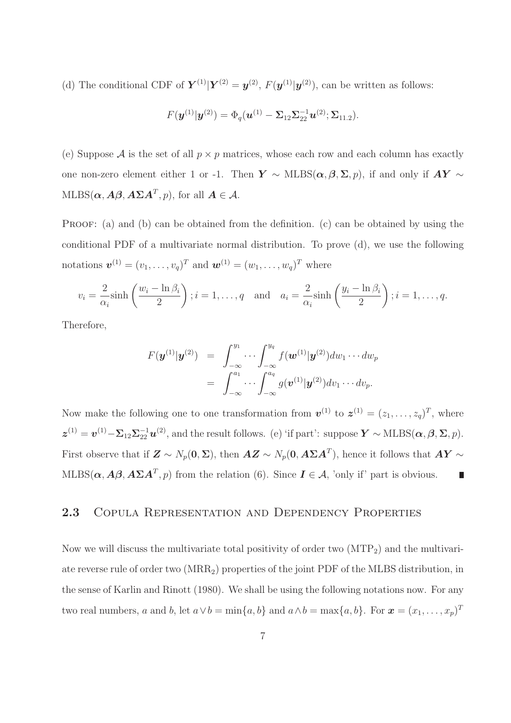(d) The conditional CDF of  $\mathbf{Y}^{(1)}|\mathbf{Y}^{(2)} = \mathbf{y}^{(2)}$ ,  $F(\mathbf{y}^{(1)}|\mathbf{y}^{(2)})$ , can be written as follows:

$$
F(\boldsymbol{y}^{(1)}|\boldsymbol{y}^{(2)})=\Phi_q(\boldsymbol{u}^{(1)}-\boldsymbol{\Sigma}_{12}\boldsymbol{\Sigma}_{22}^{-1}\boldsymbol{u}^{(2)};\boldsymbol{\Sigma}_{11.2}).
$$

(e) Suppose A is the set of all  $p \times p$  matrices, whose each row and each column has exactly one non-zero element either 1 or -1. Then  $Y \sim \text{MLBS}(\alpha, \beta, \Sigma, p)$ , if and only if  $AY \sim$  $\text{MLBS}(\boldsymbol{\alpha}, \boldsymbol{A}\boldsymbol{\beta}, \boldsymbol{A}\boldsymbol{\Sigma}\boldsymbol{A}^T, p)$ , for all  $\boldsymbol{A} \in \boldsymbol{\mathcal{A}}$ .

PROOF: (a) and (b) can be obtained from the definition. (c) can be obtained by using the conditional PDF of a multivariate normal distribution. To prove (d), we use the following notations  $\mathbf{v}^{(1)} = (v_1, \ldots, v_q)^T$  and  $\mathbf{w}^{(1)} = (w_1, \ldots, w_q)^T$  where

$$
v_i = \frac{2}{\alpha_i} \sinh\left(\frac{w_i - \ln \beta_i}{2}\right); i = 1, \dots, q \quad \text{and} \quad a_i = \frac{2}{\alpha_i} \sinh\left(\frac{y_i - \ln \beta_i}{2}\right); i = 1, \dots, q.
$$

Therefore,

$$
F(\boldsymbol{y}^{(1)}|\boldsymbol{y}^{(2)}) = \int_{-\infty}^{y_1} \cdots \int_{-\infty}^{y_q} f(\boldsymbol{w}^{(1)}|\boldsymbol{y}^{(2)}) dw_1 \cdots dw_p
$$
  
= 
$$
\int_{-\infty}^{a_1} \cdots \int_{-\infty}^{a_q} g(\boldsymbol{v}^{(1)}|\boldsymbol{y}^{(2)}) dv_1 \cdots dv_p.
$$

Now make the following one to one transformation from  $\mathbf{v}^{(1)}$  to  $\mathbf{z}^{(1)} = (z_1, \ldots, z_q)^T$ , where  $\boldsymbol{z}^{(1)} = \boldsymbol{v}^{(1)} - \boldsymbol{\Sigma}_{12} \boldsymbol{\Sigma}_{22}^{-1} \boldsymbol{u}^{(2)}$ , and the result follows. (e) 'if part': suppose  $\boldsymbol{Y} \sim \text{MLBS}(\boldsymbol{\alpha}, \boldsymbol{\beta}, \boldsymbol{\Sigma}, p)$ . First observe that if  $\bm{Z} \sim N_p(\bm{0}, \bm{\Sigma})$ , then  $\bm{A}\bm{Z} \sim N_p(\bm{0}, \bm{A}\bm{\Sigma}\bm{A}^T)$ , hence it follows that  $\bm{A}\bm{Y} \sim \bm{Z}$ MLBS( $\alpha$ ,  $A\beta$ ,  $A\Sigma A^{T}$ , p) from the relation (6). Since  $I \in \mathcal{A}$ , 'only if' part is obvious. П

#### 2.3 COPULA REPRESENTATION AND DEPENDENCY PROPERTIES

Now we will discuss the multivariate total positivity of order two  $(MTP<sub>2</sub>)$  and the multivariate reverse rule of order two (MRR2) properties of the joint PDF of the MLBS distribution, in the sense of Karlin and Rinott (1980). We shall be using the following notations now. For any two real numbers, a and b, let  $a \vee b = \min\{a, b\}$  and  $a \wedge b = \max\{a, b\}$ . For  $\boldsymbol{x} = (x_1, \dots, x_p)^T$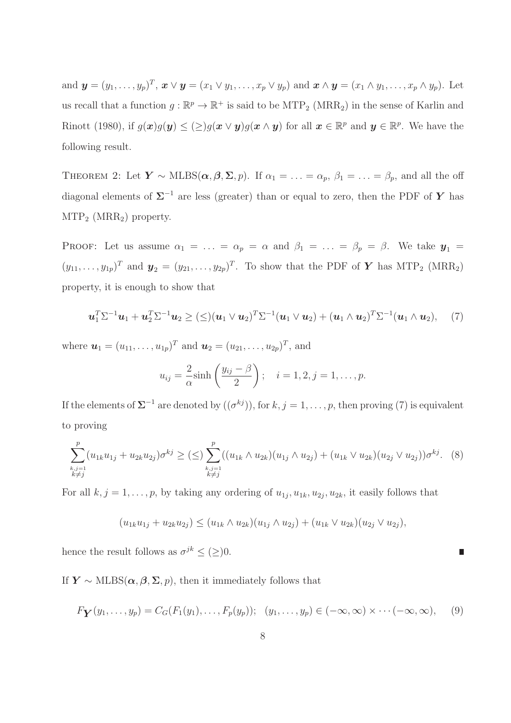and  $\mathbf{y}=(y_1,\ldots,y_p)^T$ ,  $\mathbf{x}\vee\mathbf{y}=(x_1\vee y_1,\ldots,x_p\vee y_p)$  and  $\mathbf{x}\wedge\mathbf{y}=(x_1\wedge y_1,\ldots,x_p\wedge y_p)$ . Let us recall that a function  $g : \mathbb{R}^p \to \mathbb{R}^+$  is said to be  $\text{MTP}_2$  (MRR<sub>2</sub>) in the sense of Karlin and Rinott (1980), if  $g(x)g(y) \leq (\geq)g(x \vee y)g(x \wedge y)$  for all  $x \in \mathbb{R}^p$  and  $y \in \mathbb{R}^p$ . We have the following result.

THEOREM 2: Let  $\mathbf{Y} \sim \text{MLBS}(\alpha, \beta, \Sigma, p)$ . If  $\alpha_1 = \ldots = \alpha_p$ ,  $\beta_1 = \ldots = \beta_p$ , and all the off diagonal elements of  $\Sigma^{-1}$  are less (greater) than or equal to zero, then the PDF of Y has  $MTP_2$  (MRR<sub>2</sub>) property.

PROOF: Let us assume  $\alpha_1 = \ldots = \alpha_p = \alpha$  and  $\beta_1 = \ldots = \beta_p = \beta$ . We take  $y_1 =$  $(y_{11},...,y_{1p})^T$  and  $\mathbf{y}_2=(y_{21},...,y_{2p})^T$ . To show that the PDF of Y has MTP<sub>2</sub> (MRR<sub>2</sub>) property, it is enough to show that

$$
\boldsymbol{u}_1^T \Sigma^{-1} \boldsymbol{u}_1 + \boldsymbol{u}_2^T \Sigma^{-1} \boldsymbol{u}_2 \geq (\leq) (\boldsymbol{u}_1 \vee \boldsymbol{u}_2)^T \Sigma^{-1} (\boldsymbol{u}_1 \vee \boldsymbol{u}_2) + (\boldsymbol{u}_1 \wedge \boldsymbol{u}_2)^T \Sigma^{-1} (\boldsymbol{u}_1 \wedge \boldsymbol{u}_2), \quad (7)
$$

where  $u_1 = (u_{11}, \ldots, u_{1p})^T$  and  $u_2 = (u_{21}, \ldots, u_{2p})^T$ , and

$$
u_{ij} = \frac{2}{\alpha} \sinh\left(\frac{y_{ij} - \beta}{2}\right); \quad i = 1, 2, j = 1, ..., p.
$$

If the elements of  $\Sigma^{-1}$  are denoted by  $((\sigma^{kj}))$ , for  $k, j = 1, \ldots, p$ , then proving (7) is equivalent to proving

$$
\sum_{\substack{k,j=1\\k\neq j}}^p (u_{1k}u_{1j} + u_{2k}u_{2j})\sigma^{kj} \geq (\leq) \sum_{\substack{k,j=1\\k\neq j}}^p ((u_{1k} \wedge u_{2k})(u_{1j} \wedge u_{2j}) + (u_{1k} \vee u_{2k})(u_{2j} \vee u_{2j}))\sigma^{kj}.
$$
 (8)

For all  $k, j = 1, \ldots, p$ , by taking any ordering of  $u_{1j}, u_{1k}, u_{2j}, u_{2k}$ , it easily follows that

$$
(u_{1k}u_{1j} + u_{2k}u_{2j}) \le (u_{1k} \wedge u_{2k})(u_{1j} \wedge u_{2j}) + (u_{1k} \vee u_{2k})(u_{2j} \vee u_{2j}),
$$

hence the result follows as  $\sigma^{jk} \leq (\geq)0$ .

If  $Y \sim \text{MLBS}(\alpha, \beta, \Sigma, p)$ , then it immediately follows that

$$
F_{\mathbf{Y}}(y_1,\ldots,y_p)=C_G(F_1(y_1),\ldots,F_p(y_p));\ (y_1,\ldots,y_p)\in(-\infty,\infty)\times\cdots(-\infty,\infty),\ (9)
$$

П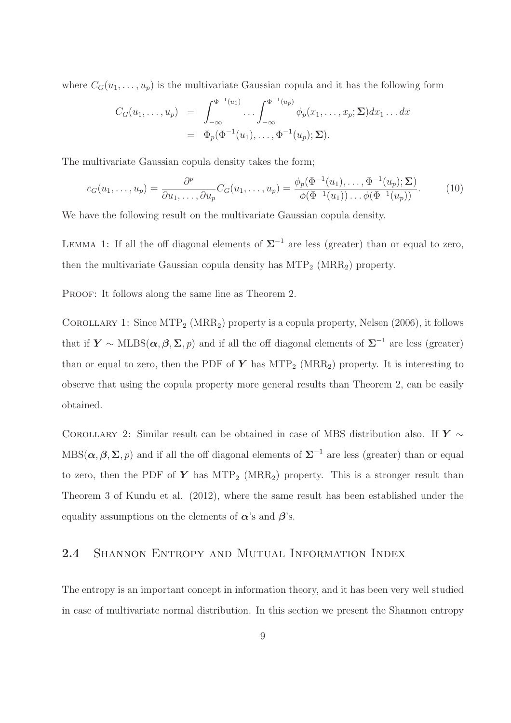where  $C_G(u_1, \ldots, u_p)$  is the multivariate Gaussian copula and it has the following form

$$
C_G(u_1,\ldots,u_p) = \int_{-\infty}^{\Phi^{-1}(u_1)} \ldots \int_{-\infty}^{\Phi^{-1}(u_p)} \phi_p(x_1,\ldots,x_p;\Sigma) dx_1 \ldots dx
$$
  
=  $\Phi_p(\Phi^{-1}(u_1),\ldots,\Phi^{-1}(u_p);\Sigma).$ 

The multivariate Gaussian copula density takes the form;

$$
c_G(u_1,\ldots,u_p)=\frac{\partial^p}{\partial u_1,\ldots,\partial u_p}C_G(u_1,\ldots,u_p)=\frac{\phi_p(\Phi^{-1}(u_1),\ldots,\Phi^{-1}(u_p);\Sigma)}{\phi(\Phi^{-1}(u_1))\ldots\phi(\Phi^{-1}(u_p))}.
$$
(10)

We have the following result on the multivariate Gaussian copula density.

LEMMA 1: If all the off diagonal elements of  $\Sigma^{-1}$  are less (greater) than or equal to zero, then the multivariate Gaussian copula density has  $MTP_2$  (MRR<sub>2</sub>) property.

PROOF: It follows along the same line as Theorem 2.

COROLLARY 1: Since  $MTP_2(MRR_2)$  property is a copula property, Nelsen (2006), it follows that if  $\mathbf{Y} \sim \text{MLBS}(\alpha, \beta, \Sigma, p)$  and if all the off diagonal elements of  $\Sigma^{-1}$  are less (greater) than or equal to zero, then the PDF of Y has  $MTP_2$  (MRR<sub>2</sub>) property. It is interesting to observe that using the copula property more general results than Theorem 2, can be easily obtained.

COROLLARY 2: Similar result can be obtained in case of MBS distribution also. If  $Y \sim$  $MBS(\alpha, \beta, \Sigma, p)$  and if all the off diagonal elements of  $\Sigma^{-1}$  are less (greater) than or equal to zero, then the PDF of Y has  $MTP_2$  (MRR<sub>2</sub>) property. This is a stronger result than Theorem 3 of Kundu et al. (2012), where the same result has been established under the equality assumptions on the elements of  $\alpha$ 's and  $\beta$ 's.

#### 2.4 SHANNON ENTROPY AND MUTUAL INFORMATION INDEX

The entropy is an important concept in information theory, and it has been very well studied in case of multivariate normal distribution. In this section we present the Shannon entropy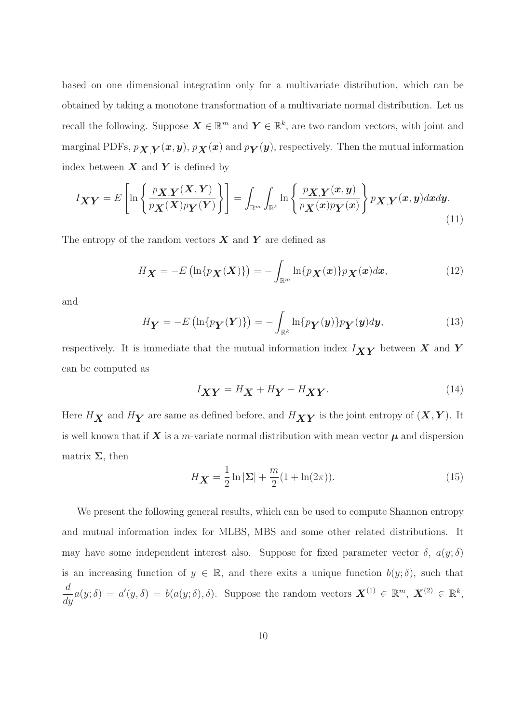based on one dimensional integration only for a multivariate distribution, which can be obtained by taking a monotone transformation of a multivariate normal distribution. Let us recall the following. Suppose  $\mathbf{X} \in \mathbb{R}^m$  and  $\mathbf{Y} \in \mathbb{R}^k$ , are two random vectors, with joint and marginal PDFs,  $p_{\boldsymbol{X},\boldsymbol{Y}}(\boldsymbol{x},\boldsymbol{y}),$   $p_{\boldsymbol{X}}(\boldsymbol{x})$  and  $p_{\boldsymbol{Y}}(\boldsymbol{y}),$  respectively. Then the mutual information index between  $X$  and  $Y$  is defined by

$$
I_{\boldsymbol{X}\boldsymbol{Y}} = E\left[\ln\left\{\frac{p_{\boldsymbol{X},\boldsymbol{Y}}(\boldsymbol{X},\boldsymbol{Y})}{p_{\boldsymbol{X}}(\boldsymbol{X})p_{\boldsymbol{Y}}(\boldsymbol{Y})}\right\}\right] = \int_{\mathbb{R}^m} \int_{\mathbb{R}^k} \ln\left\{\frac{p_{\boldsymbol{X},\boldsymbol{Y}}(\boldsymbol{x},\boldsymbol{y})}{p_{\boldsymbol{X}}(\boldsymbol{x})p_{\boldsymbol{Y}}(\boldsymbol{x})}\right\} p_{\boldsymbol{X},\boldsymbol{Y}}(\boldsymbol{x},\boldsymbol{y}) d\boldsymbol{x} d\boldsymbol{y}.
$$
\n(11)

The entropy of the random vectors  $\boldsymbol{X}$  and  $\boldsymbol{Y}$  are defined as

$$
H_{\mathbf{X}} = -E\left(\ln\{p_{\mathbf{X}}(\mathbf{X})\}\right) = -\int_{\mathbb{R}^m} \ln\{p_{\mathbf{X}}(\mathbf{x})\} p_{\mathbf{X}}(\mathbf{x}) d\mathbf{x},\tag{12}
$$

and

$$
H_Y = -E\left(\ln\{p_Y(Y)\}\right) = -\int_{\mathbb{R}^k} \ln\{p_Y(y)\} p_Y(y) dy, \tag{13}
$$

respectively. It is immediate that the mutual information index  $I_{XY}$  between X and Y can be computed as

$$
I_{\boldsymbol{X}\boldsymbol{Y}} = H_{\boldsymbol{X}} + H_{\boldsymbol{Y}} - H_{\boldsymbol{X}\boldsymbol{Y}}.\tag{14}
$$

Here  $H_{\boldsymbol{X}}$  and  $H_{\boldsymbol{Y}}$  are same as defined before, and  $H_{\boldsymbol{X}\boldsymbol{Y}}$  is the joint entropy of  $(\boldsymbol{X},\boldsymbol{Y}).$  It is well known that if  $X$  is a m-variate normal distribution with mean vector  $\mu$  and dispersion matrix  $\Sigma$ , then

$$
H_X = \frac{1}{2} \ln |\Sigma| + \frac{m}{2} (1 + \ln(2\pi)).
$$
\n(15)

We present the following general results, which can be used to compute Shannon entropy and mutual information index for MLBS, MBS and some other related distributions. It may have some independent interest also. Suppose for fixed parameter vector  $\delta$ ,  $a(y;\delta)$ is an increasing function of  $y \in \mathbb{R}$ , and there exits a unique function  $b(y; \delta)$ , such that d  $\frac{d}{dy}a(y;\delta) = a'(y,\delta) = b(a(y;\delta),\delta)$ . Suppose the random vectors  $\mathbf{X}^{(1)} \in \mathbb{R}^m$ ,  $\mathbf{X}^{(2)} \in \mathbb{R}^k$ ,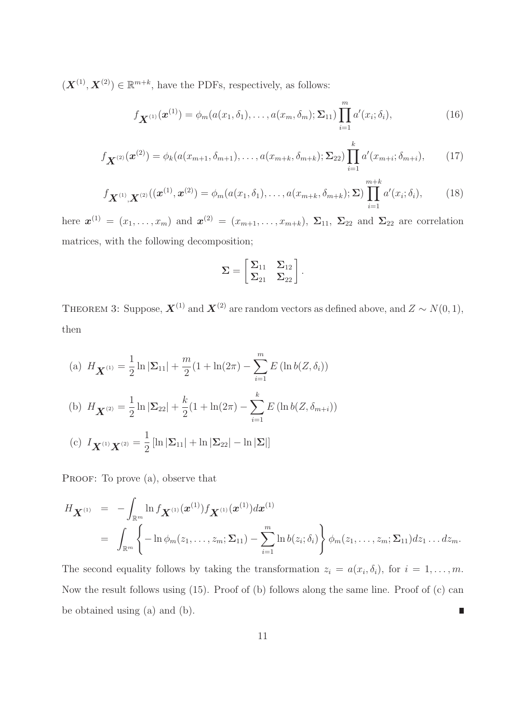$(\boldsymbol{X}^{(1)},\boldsymbol{X}^{(2)})\in\mathbb{R}^{m+k}$ , have the PDFs, respectively, as follows:

$$
f_{\mathbf{X}^{(1)}}(\boldsymbol{x}^{(1)}) = \phi_m(a(x_1, \delta_1), \dots, a(x_m, \delta_m); \Sigma_{11}) \prod_{i=1}^m a'(x_i; \delta_i), \qquad (16)
$$

$$
f_{\mathbf{X}^{(2)}}(\mathbf{x}^{(2)}) = \phi_k(a(x_{m+1}, \delta_{m+1}), \dots, a(x_{m+k}, \delta_{m+k}); \Sigma_{22}) \prod_{i=1}^k a'(x_{m+i}; \delta_{m+i}), \qquad (17)
$$

$$
f_{\mathbf{X}^{(1)},\mathbf{X}^{(2)}}((\mathbf{x}^{(1)},\mathbf{x}^{(2)})=\phi_m(a(x_1,\delta_1),\ldots,a(x_{m+k},\delta_{m+k});\Sigma)\prod_{i=1}^{m+k}a'(x_i;\delta_i),
$$
 (18)

here  $\mathbf{x}^{(1)} = (x_1, \ldots, x_m)$  and  $\mathbf{x}^{(2)} = (x_{m+1}, \ldots, x_{m+k}), \ \Sigma_{11}, \ \Sigma_{22}$  and  $\Sigma_{22}$  are correlation matrices, with the following decomposition;

$$
\Sigma = \begin{bmatrix} \Sigma_{11} & \Sigma_{12} \\ \Sigma_{21} & \Sigma_{22} \end{bmatrix}.
$$

THEOREM 3: Suppose,  $\mathbf{X}^{(1)}$  and  $\mathbf{X}^{(2)}$  are random vectors as defined above, and  $Z \sim N(0, 1)$ , then

(a) 
$$
H_{\mathbf{X}^{(1)}} = \frac{1}{2} \ln |\Sigma_{11}| + \frac{m}{2} (1 + \ln(2\pi) - \sum_{i=1}^{m} E(\ln b(Z, \delta_i))
$$
  
\n(b)  $H_{\mathbf{X}^{(2)}} = \frac{1}{2} \ln |\Sigma_{22}| + \frac{k}{2} (1 + \ln(2\pi) - \sum_{i=1}^{k} E(\ln b(Z, \delta_{m+i}))$   
\n(c)  $I_{\mathbf{X}^{(1)}\mathbf{X}^{(2)}} = \frac{1}{2} [\ln |\Sigma_{11}| + \ln |\Sigma_{22}| - \ln |\Sigma|]$ 

PROOF: To prove (a), observe that

$$
H_{\mathbf{X}^{(1)}} = -\int_{\mathbb{R}^m} \ln f_{\mathbf{X}^{(1)}}(\mathbf{x}^{(1)}) f_{\mathbf{X}^{(1)}}(\mathbf{x}^{(1)}) d\mathbf{x}^{(1)}
$$
  
= 
$$
\int_{\mathbb{R}^m} \left\{-\ln \phi_m(z_1,\ldots,z_m;\Sigma_{11}) - \sum_{i=1}^m \ln b(z_i;\delta_i)\right\} \phi_m(z_1,\ldots,z_m;\Sigma_{11}) dz_1 \ldots dz_m.
$$

The second equality follows by taking the transformation  $z_i = a(x_i, \delta_i)$ , for  $i = 1, \ldots, m$ . Now the result follows using (15). Proof of (b) follows along the same line. Proof of (c) can be obtained using (a) and (b).  $\blacksquare$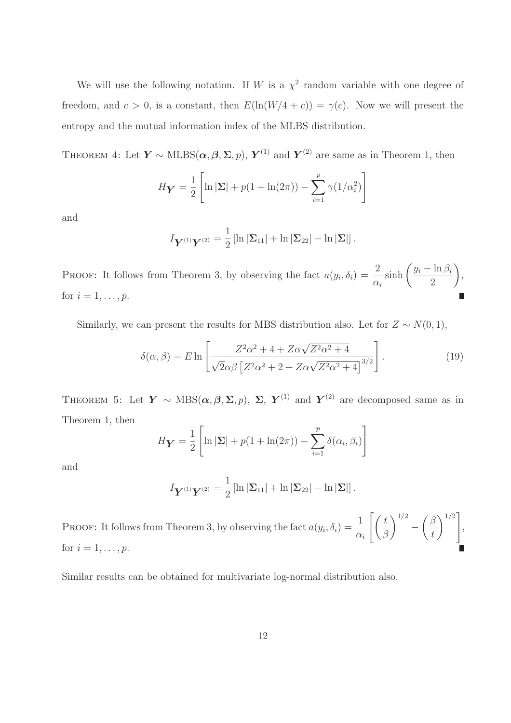We will use the following notation. If W is a  $\chi^2$  random variable with one degree of freedom, and  $c > 0$ , is a constant, then  $E(\ln(W/4 + c)) = \gamma(c)$ . Now we will present the entropy and the mutual information index of the MLBS distribution.

THEOREM 4: Let  $\boldsymbol{Y} \sim \text{MLBS}(\boldsymbol{\alpha}, \boldsymbol{\beta}, \boldsymbol{\Sigma}, p)$ ,  $\boldsymbol{Y}^{(1)}$  and  $\boldsymbol{Y}^{(2)}$  are same as in Theorem 1, then

$$
H_Y = \frac{1}{2} \left[ \ln |\Sigma| + p(1 + \ln(2\pi)) - \sum_{i=1}^{p} \gamma(1/\alpha_i^2) \right]
$$

and

$$
I_{\boldsymbol{Y}^{(1)}\boldsymbol{Y}^{(2)}} = \frac{1}{2} \left[ \ln |\boldsymbol{\Sigma}_{11}| + \ln |\boldsymbol{\Sigma}_{22}| - \ln |\boldsymbol{\Sigma}| \right].
$$

**PROOF:** It follows from Theorem 3, by observing the fact  $a(y_i, \delta_i) = \frac{2}{\sigma_i}$  $\alpha_i$  $\sinh\left(\frac{y_i - \ln \beta_i}{2}\right)$ 2  $\setminus$ , for  $i=1,\ldots,p$ .

Similarly, we can present the results for MBS distribution also. Let for  $Z \sim N(0, 1)$ ,

$$
\delta(\alpha,\beta) = E \ln \left[ \frac{Z^2 \alpha^2 + 4 + Z \alpha \sqrt{Z^2 \alpha^2 + 4}}{\sqrt{2} \alpha \beta \left[ Z^2 \alpha^2 + 2 + Z \alpha \sqrt{Z^2 \alpha^2 + 4} \right]^{3/2}} \right].
$$
\n(19)

THEOREM 5: Let  $Y \sim \text{MBS}(\alpha, \beta, \Sigma, p)$ ,  $\Sigma$ ,  $Y^{(1)}$  and  $Y^{(2)}$  are decomposed same as in Theorem 1, then

$$
H_Y = \frac{1}{2} \left[ \ln |\Sigma| + p(1 + \ln(2\pi)) - \sum_{i=1}^p \delta(\alpha_i, \beta_i) \right]
$$

and

$$
I_{\boldsymbol{Y}^{(1)}\boldsymbol{Y}^{(2)}}=\frac{1}{2}\left[\ln|\boldsymbol{\Sigma}_{11}|+\ln|\boldsymbol{\Sigma}_{22}|-\ln|\boldsymbol{\Sigma}|\right].
$$

**PROOF:** It follows from Theorem 3, by observing the fact  $a(y_i, \delta_i) = \frac{1}{2}$  $\alpha_i$  $\int$  / t β  $\setminus$ <sup>1/2</sup> −  $\beta$ t  $\setminus$ <sup>1/2</sup>] , for  $i = 1, \ldots, p$ .

Similar results can be obtained for multivariate log-normal distribution also.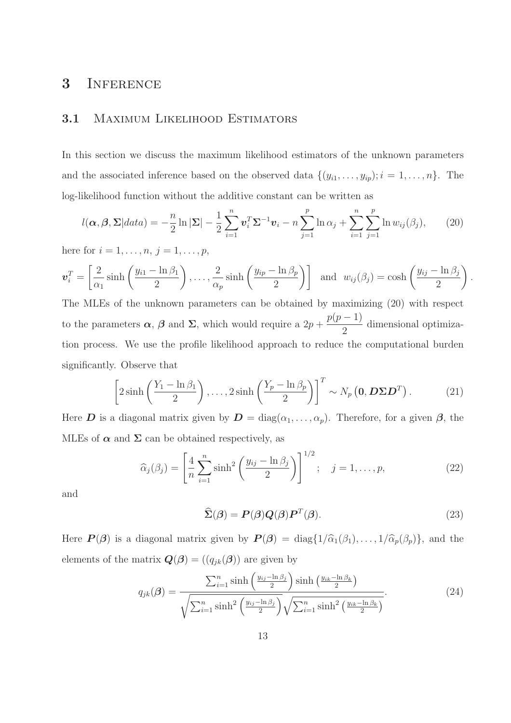### 3 INFERENCE

#### 3.1 Maximum Likelihood Estimators

In this section we discuss the maximum likelihood estimators of the unknown parameters and the associated inference based on the observed data  $\{(y_{i1}, \ldots, y_{ip}); i = 1, \ldots, n\}$ . The log-likelihood function without the additive constant can be written as

$$
l(\boldsymbol{\alpha},\boldsymbol{\beta},\boldsymbol{\Sigma}|data)=-\frac{n}{2}\ln|\boldsymbol{\Sigma}|-\frac{1}{2}\sum_{i=1}^{n}\boldsymbol{v}_{i}^{T}\boldsymbol{\Sigma}^{-1}\boldsymbol{v}_{i}-n\sum_{j=1}^{p}\ln\alpha_{j}+\sum_{i=1}^{n}\sum_{j=1}^{p}\ln w_{ij}(\beta_{j}),
$$
 (20)

here for  $i = 1, ..., n, j = 1, ..., p$ ,

$$
\boldsymbol{v}_i^T = \left[\frac{2}{\alpha_1}\sinh\left(\frac{y_{i1} - \ln\beta_1}{2}\right), \ldots, \frac{2}{\alpha_p}\sinh\left(\frac{y_{ip} - \ln\beta_p}{2}\right)\right] \text{ and } w_{ij}(\beta_j) = \cosh\left(\frac{y_{ij} - \ln\beta_j}{2}\right).
$$

The MLEs of the unknown parameters can be obtained by maximizing (20) with respect to the parameters  $\alpha$ ,  $\beta$  and  $\Sigma$ , which would require a  $2p + \frac{p(p-1)}{2}$ 2 dimensional optimization process. We use the profile likelihood approach to reduce the computational burden significantly. Observe that

$$
\left[2\sinh\left(\frac{Y_1 - \ln\beta_1}{2}\right), \dots, 2\sinh\left(\frac{Y_p - \ln\beta_p}{2}\right)\right]^T \sim N_p\left(\mathbf{0}, \mathbf{D}\Sigma\mathbf{D}^T\right). \tag{21}
$$

Here **D** is a diagonal matrix given by  $\mathbf{D} = \text{diag}(\alpha_1, \dots, \alpha_p)$ . Therefore, for a given  $\beta$ , the MLEs of  $\alpha$  and  $\Sigma$  can be obtained respectively, as

$$
\widehat{\alpha}_j(\beta_j) = \left[\frac{4}{n}\sum_{i=1}^n \sinh^2\left(\frac{y_{ij} - \ln \beta_j}{2}\right)\right]^{1/2}; \quad j = 1, \dots, p,
$$
\n(22)

and

$$
\widehat{\Sigma}(\boldsymbol{\beta}) = P(\boldsymbol{\beta})Q(\boldsymbol{\beta})P^{T}(\boldsymbol{\beta}).
$$
\n(23)

Here  $\mathbf{P}(\beta)$  is a diagonal matrix given by  $\mathbf{P}(\beta) = \text{diag}\{1/\widehat{\alpha}_1(\beta_1), \ldots, 1/\widehat{\alpha}_p(\beta_p)\}\)$ , and the elements of the matrix  $\mathbf{Q}(\mathbf{\beta}) = ((q_{jk}(\mathbf{\beta}))$  are given by

$$
q_{jk}(\boldsymbol{\beta}) = \frac{\sum_{i=1}^{n} \sinh\left(\frac{y_{ij} - \ln \beta_j}{2}\right) \sinh\left(\frac{y_{ik} - \ln \beta_k}{2}\right)}{\sqrt{\sum_{i=1}^{n} \sinh^2\left(\frac{y_{ij} - \ln \beta_j}{2}\right)} \sqrt{\sum_{i=1}^{n} \sinh^2\left(\frac{y_{ik} - \ln \beta_k}{2}\right)}}.
$$
(24)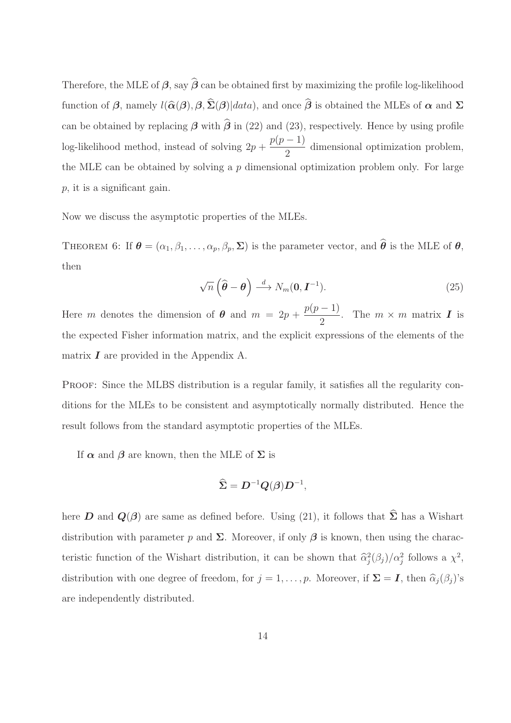Therefore, the MLE of  $\beta$ , say  $\hat{\beta}$  can be obtained first by maximizing the profile log-likelihood function of  $\beta$ , namely  $l(\hat{\alpha}(\beta), \beta, \hat{\Sigma}(\beta))$  and once  $\hat{\beta}$  is obtained the MLEs of  $\alpha$  and  $\Sigma$ can be obtained by replacing  $\beta$  with  $\hat{\beta}$  in (22) and (23), respectively. Hence by using profile log-likelihood method, instead of solving  $2p + \frac{p(p-1)}{2}$ 2 dimensional optimization problem, the MLE can be obtained by solving a p dimensional optimization problem only. For large p, it is a significant gain.

Now we discuss the asymptotic properties of the MLEs.

THEOREM 6: If  $\boldsymbol{\theta} = (\alpha_1, \beta_1, \dots, \alpha_p, \beta_p, \boldsymbol{\Sigma})$  is the parameter vector, and  $\widehat{\boldsymbol{\theta}}$  is the MLE of  $\boldsymbol{\theta}$ , then

$$
\sqrt{n}\left(\widehat{\boldsymbol{\theta}}-\boldsymbol{\theta}\right)\stackrel{d}{\longrightarrow}N_m(\mathbf{0},\boldsymbol{I}^{-1}).
$$
\n(25)

Here m denotes the dimension of  $\theta$  and  $m = 2p + \frac{p(p-1)}{2}$  $\frac{1}{2}$ . The  $m \times m$  matrix **I** is the expected Fisher information matrix, and the explicit expressions of the elements of the matrix  $\boldsymbol{I}$  are provided in the Appendix A.

PROOF: Since the MLBS distribution is a regular family, it satisfies all the regularity conditions for the MLEs to be consistent and asymptotically normally distributed. Hence the result follows from the standard asymptotic properties of the MLEs.

If  $\alpha$  and  $\beta$  are known, then the MLE of  $\Sigma$  is

$$
\widehat{\Sigma} = \boldsymbol{D}^{-1} \boldsymbol{Q}(\boldsymbol{\beta}) \boldsymbol{D}^{-1},
$$

here D and  $Q(\beta)$  are same as defined before. Using (21), it follows that  $\hat{\Sigma}$  has a Wishart distribution with parameter p and  $\Sigma$ . Moreover, if only  $\beta$  is known, then using the characteristic function of the Wishart distribution, it can be shown that  $\hat{\alpha}_j^2(\beta_j)/\alpha_j^2$  follows a  $\chi^2$ , distribution with one degree of freedom, for  $j = 1, \ldots, p$ . Moreover, if  $\Sigma = I$ , then  $\widehat{\alpha}_{j}(\beta_{j})$ 's are independently distributed.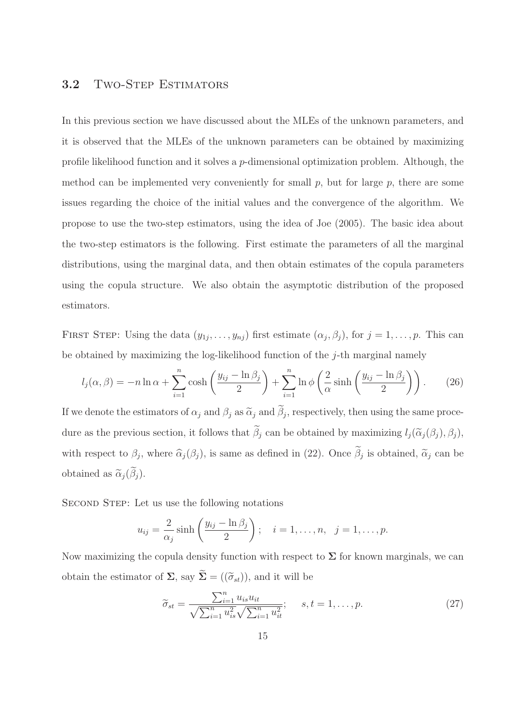#### 3.2 TWO-STEP ESTIMATORS

In this previous section we have discussed about the MLEs of the unknown parameters, and it is observed that the MLEs of the unknown parameters can be obtained by maximizing profile likelihood function and it solves a p-dimensional optimization problem. Although, the method can be implemented very conveniently for small  $p$ , but for large  $p$ , there are some issues regarding the choice of the initial values and the convergence of the algorithm. We propose to use the two-step estimators, using the idea of Joe (2005). The basic idea about the two-step estimators is the following. First estimate the parameters of all the marginal distributions, using the marginal data, and then obtain estimates of the copula parameters using the copula structure. We also obtain the asymptotic distribution of the proposed estimators.

FIRST STEP: Using the data  $(y_{1j},...,y_{nj})$  first estimate  $(\alpha_j,\beta_j)$ , for  $j=1,...,p$ . This can be obtained by maximizing the log-likelihood function of the  $j$ -th marginal namely

$$
l_j(\alpha, \beta) = -n \ln \alpha + \sum_{i=1}^n \cosh\left(\frac{y_{ij} - \ln \beta_j}{2}\right) + \sum_{i=1}^n \ln \phi \left(\frac{2}{\alpha} \sinh\left(\frac{y_{ij} - \ln \beta_j}{2}\right)\right). \tag{26}
$$

If we denote the estimators of  $\alpha_j$  and  $\beta_j$  as  $\tilde{\alpha}_j$  and  $\beta_j$ , respectively, then using the same procedure as the previous section, it follows that  $\tilde{\beta}_j$  can be obtained by maximizing  $l_j(\tilde{\alpha}_j(\beta_j), \beta_j)$ , with respect to  $\beta_j$ , where  $\widehat{\alpha}_j(\beta_j)$ , is same as defined in (22). Once  $\beta_j$  is obtained,  $\widetilde{\alpha}_j$  can be obtained as  $\tilde{\alpha}_i(\tilde{\beta}_i)$ .

SECOND STEP: Let us use the following notations

$$
u_{ij} = \frac{2}{\alpha_j} \sinh\left(\frac{y_{ij} - \ln \beta_j}{2}\right); \quad i = 1, \dots, n, \quad j = 1, \dots, p.
$$

Now maximizing the copula density function with respect to  $\Sigma$  for known marginals, we can obtain the estimator of  $\Sigma$ , say  $\widetilde{\Sigma} = ((\widetilde{\sigma}_{st}))$ , and it will be

$$
\widetilde{\sigma}_{st} = \frac{\sum_{i=1}^{n} u_{is} u_{it}}{\sqrt{\sum_{i=1}^{n} u_{is}^2} \sqrt{\sum_{i=1}^{n} u_{it}^2}}; \quad s, t = 1, \dots, p.
$$
\n(27)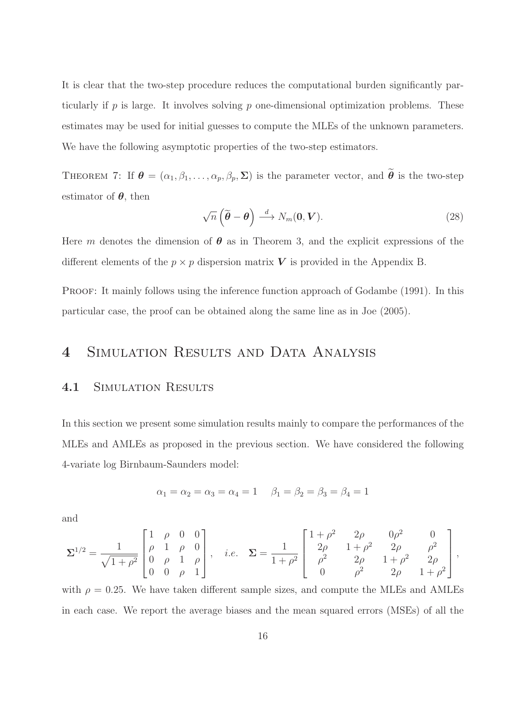It is clear that the two-step procedure reduces the computational burden significantly particularly if p is large. It involves solving p one-dimensional optimization problems. These estimates may be used for initial guesses to compute the MLEs of the unknown parameters. We have the following asymptotic properties of the two-step estimators.

THEOREM 7: If  $\boldsymbol{\theta} = (\alpha_1, \beta_1, \dots, \alpha_p, \beta_p, \boldsymbol{\Sigma})$  is the parameter vector, and  $\tilde{\boldsymbol{\theta}}$  is the two-step estimator of  $\theta$ , then

$$
\sqrt{n}\left(\widetilde{\boldsymbol{\theta}}-\boldsymbol{\theta}\right)\stackrel{d}{\longrightarrow}N_m(\mathbf{0},\boldsymbol{V}).
$$
\n(28)

Here m denotes the dimension of  $\theta$  as in Theorem 3, and the explicit expressions of the different elements of the  $p \times p$  dispersion matrix V is provided in the Appendix B.

PROOF: It mainly follows using the inference function approach of Godambe (1991). In this particular case, the proof can be obtained along the same line as in Joe (2005).

## 4 SIMULATION RESULTS AND DATA ANALYSIS

#### 4.1 SIMULATION RESULTS

In this section we present some simulation results mainly to compare the performances of the MLEs and AMLEs as proposed in the previous section. We have considered the following 4-variate log Birnbaum-Saunders model:

$$
\alpha_1 = \alpha_2 = \alpha_3 = \alpha_4 = 1
$$
  $\beta_1 = \beta_2 = \beta_3 = \beta_4 = 1$ 

and

$$
\pmb{\Sigma}^{1/2} = \frac{1}{\sqrt{1+\rho^2}} \begin{bmatrix} 1 & \rho & 0 & 0 \\ \rho & 1 & \rho & 0 \\ 0 & \rho & 1 & \rho \\ 0 & 0 & \rho & 1 \end{bmatrix}, \quad i.e. \quad \pmb{\Sigma} = \frac{1}{1+\rho^2} \begin{bmatrix} 1+\rho^2 & 2\rho & 0\rho^2 & 0 \\ 2\rho & 1+\rho^2 & 2\rho & \rho^2 \\ \rho^2 & 2\rho & 1+\rho^2 & 2\rho \\ 0 & \rho^2 & 2\rho & 1+\rho^2 \end{bmatrix},
$$

with  $\rho = 0.25$ . We have taken different sample sizes, and compute the MLEs and AMLEs in each case. We report the average biases and the mean squared errors (MSEs) of all the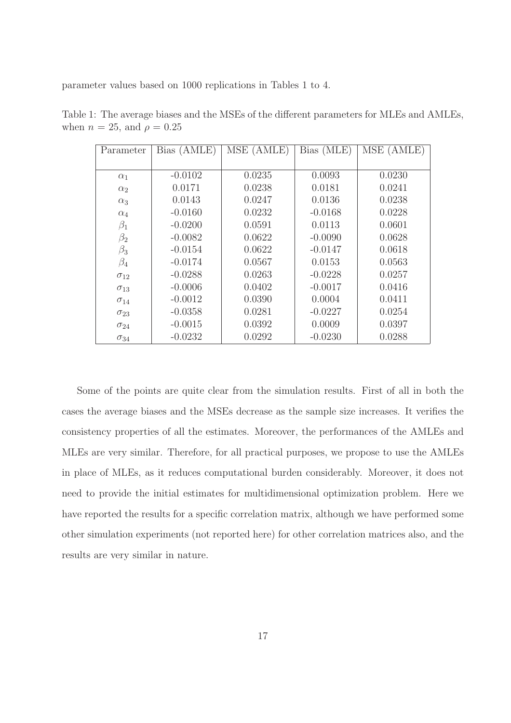parameter values based on 1000 replications in Tables 1 to 4.

| Parameter     | Bias (AMLE) | MSE (AMLE) | Bias (MLE) | MSE (AMLE) |
|---------------|-------------|------------|------------|------------|
|               |             |            |            |            |
| $\alpha_1$    | $-0.0102$   | 0.0235     | 0.0093     | 0.0230     |
| $\alpha_2$    | 0.0171      | 0.0238     | 0.0181     | 0.0241     |
| $\alpha_3$    | 0.0143      | 0.0247     | 0.0136     | 0.0238     |
| $\alpha_4$    | $-0.0160$   | 0.0232     | $-0.0168$  | 0.0228     |
| $\beta_1$     | $-0.0200$   | 0.0591     | 0.0113     | 0.0601     |
| $\beta_2$     | $-0.0082$   | 0.0622     | $-0.0090$  | 0.0628     |
| $\beta_3$     | $-0.0154$   | 0.0622     | $-0.0147$  | 0.0618     |
| $\beta_4$     | $-0.0174$   | 0.0567     | 0.0153     | 0.0563     |
| $\sigma_{12}$ | $-0.0288$   | 0.0263     | $-0.0228$  | 0.0257     |
| $\sigma_{13}$ | $-0.0006$   | 0.0402     | $-0.0017$  | 0.0416     |
| $\sigma_{14}$ | $-0.0012$   | 0.0390     | 0.0004     | 0.0411     |
| $\sigma_{23}$ | $-0.0358$   | 0.0281     | $-0.0227$  | 0.0254     |
| $\sigma_{24}$ | $-0.0015$   | 0.0392     | 0.0009     | 0.0397     |
| $\sigma_{34}$ | $-0.0232$   | 0.0292     | $-0.0230$  | 0.0288     |

Table 1: The average biases and the MSEs of the different parameters for MLEs and AMLEs, when  $n = 25$ , and  $\rho = 0.25$ 

Some of the points are quite clear from the simulation results. First of all in both the cases the average biases and the MSEs decrease as the sample size increases. It verifies the consistency properties of all the estimates. Moreover, the performances of the AMLEs and MLEs are very similar. Therefore, for all practical purposes, we propose to use the AMLEs in place of MLEs, as it reduces computational burden considerably. Moreover, it does not need to provide the initial estimates for multidimensional optimization problem. Here we have reported the results for a specific correlation matrix, although we have performed some other simulation experiments (not reported here) for other correlation matrices also, and the results are very similar in nature.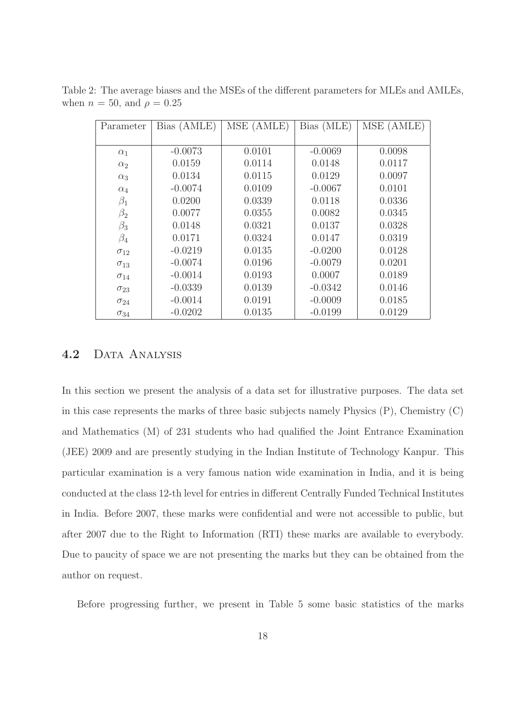| Parameter     | Bias (AMLE) | MSE (AMLE) | Bias (MLE) | MSE (AMLE) |
|---------------|-------------|------------|------------|------------|
|               |             |            |            |            |
| $\alpha_1$    | $-0.0073$   | 0.0101     | $-0.0069$  | 0.0098     |
| $\alpha_2$    | 0.0159      | 0.0114     | 0.0148     | 0.0117     |
| $\alpha_3$    | 0.0134      | 0.0115     | 0.0129     | 0.0097     |
| $\alpha_4$    | $-0.0074$   | 0.0109     | $-0.0067$  | 0.0101     |
| $\beta_1$     | 0.0200      | 0.0339     | 0.0118     | 0.0336     |
| $\beta_2$     | 0.0077      | 0.0355     | 0.0082     | 0.0345     |
| $\beta_3$     | 0.0148      | 0.0321     | 0.0137     | 0.0328     |
| $\beta_4$     | 0.0171      | 0.0324     | 0.0147     | 0.0319     |
| $\sigma_{12}$ | $-0.0219$   | 0.0135     | $-0.0200$  | 0.0128     |
| $\sigma_{13}$ | $-0.0074$   | 0.0196     | $-0.0079$  | 0.0201     |
| $\sigma_{14}$ | $-0.0014$   | 0.0193     | 0.0007     | 0.0189     |
| $\sigma_{23}$ | $-0.0339$   | 0.0139     | $-0.0342$  | 0.0146     |
| $\sigma_{24}$ | $-0.0014$   | 0.0191     | $-0.0009$  | 0.0185     |
| $\sigma_{34}$ | $-0.0202$   | 0.0135     | $-0.0199$  | 0.0129     |

Table 2: The average biases and the MSEs of the different parameters for MLEs and AMLEs, when  $n = 50$ , and  $\rho = 0.25$ 

#### 4.2 DATA ANALYSIS

In this section we present the analysis of a data set for illustrative purposes. The data set in this case represents the marks of three basic subjects namely Physics  $(P)$ , Chemistry  $(C)$ and Mathematics (M) of 231 students who had qualified the Joint Entrance Examination (JEE) 2009 and are presently studying in the Indian Institute of Technology Kanpur. This particular examination is a very famous nation wide examination in India, and it is being conducted at the class 12-th level for entries in different Centrally Funded Technical Institutes in India. Before 2007, these marks were confidential and were not accessible to public, but after 2007 due to the Right to Information (RTI) these marks are available to everybody. Due to paucity of space we are not presenting the marks but they can be obtained from the author on request.

Before progressing further, we present in Table 5 some basic statistics of the marks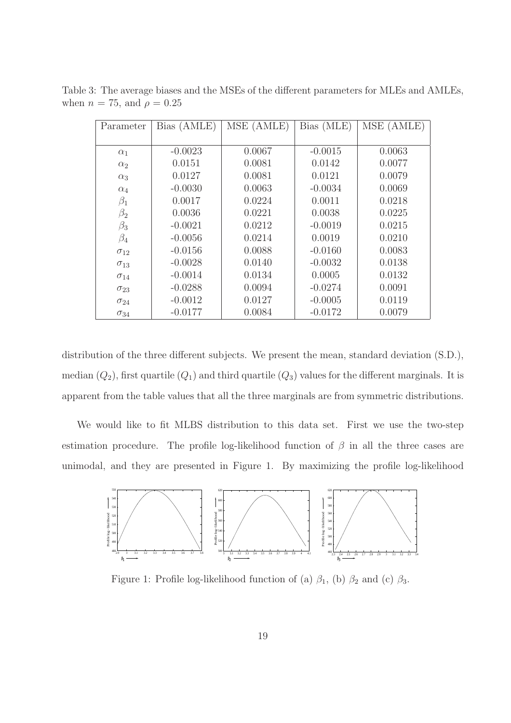| Parameter     | Bias (AMLE) | MSE (AMLE) | Bias (MLE) | MSE (AMLE) |
|---------------|-------------|------------|------------|------------|
|               |             |            |            |            |
| $\alpha_1$    | $-0.0023$   | 0.0067     | $-0.0015$  | 0.0063     |
| $\alpha_2$    | 0.0151      | 0.0081     | 0.0142     | 0.0077     |
| $\alpha_3$    | 0.0127      | 0.0081     | 0.0121     | 0.0079     |
| $\alpha_4$    | $-0.0030$   | 0.0063     | $-0.0034$  | 0.0069     |
| $\beta_1$     | 0.0017      | 0.0224     | 0.0011     | 0.0218     |
| $\beta_2$     | 0.0036      | 0.0221     | 0.0038     | 0.0225     |
| $\beta_3$     | $-0.0021$   | 0.0212     | $-0.0019$  | 0.0215     |
| $\beta_4$     | $-0.0056$   | 0.0214     | 0.0019     | 0.0210     |
| $\sigma_{12}$ | $-0.0156$   | 0.0088     | $-0.0160$  | 0.0083     |
| $\sigma_{13}$ | $-0.0028$   | 0.0140     | $-0.0032$  | 0.0138     |
| $\sigma_{14}$ | $-0.0014$   | 0.0134     | 0.0005     | 0.0132     |
| $\sigma_{23}$ | $-0.0288$   | 0.0094     | $-0.0274$  | 0.0091     |
| $\sigma_{24}$ | $-0.0012$   | 0.0127     | $-0.0005$  | 0.0119     |
| $\sigma_{34}$ | $-0.0177$   | 0.0084     | $-0.0172$  | 0.0079     |

Table 3: The average biases and the MSEs of the different parameters for MLEs and AMLEs, when  $n = 75$ , and  $\rho = 0.25$ 

distribution of the three different subjects. We present the mean, standard deviation  $(S.D.)$ , median  $(Q_2)$ , first quartile  $(Q_1)$  and third quartile  $(Q_3)$  values for the different marginals. It is apparent from the table values that all the three marginals are from symmetric distributions.

We would like to fit MLBS distribution to this data set. First we use the two-step estimation procedure. The profile log-likelihood function of  $\beta$  in all the three cases are unimodal, and they are presented in Figure 1. By maximizing the profile log-likelihood



Figure 1: Profile log-likelihood function of (a)  $\beta_1$ , (b)  $\beta_2$  and (c)  $\beta_3$ .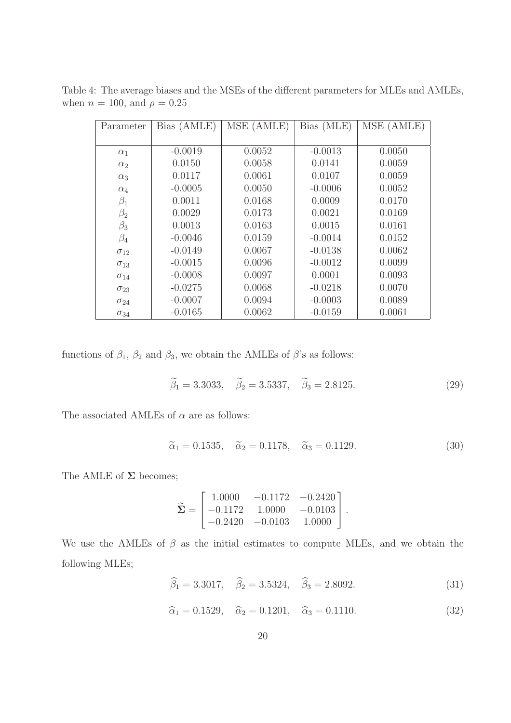| Parameter     | Bias (AMLE) | MSE (AMLE) | Bias (MLE) | MSE (AMLE) |
|---------------|-------------|------------|------------|------------|
|               |             |            |            |            |
| $\alpha_1$    | $-0.0019$   | 0.0052     | $-0.0013$  | 0.0050     |
| $\alpha_2$    | 0.0150      | 0.0058     | 0.0141     | 0.0059     |
| $\alpha_3$    | 0.0117      | 0.0061     | 0.0107     | 0.0059     |
| $\alpha_4$    | $-0.0005$   | 0.0050     | $-0.0006$  | 0.0052     |
| $\beta_1$     | 0.0011      | 0.0168     | 0.0009     | 0.0170     |
| $\beta_2$     | 0.0029      | 0.0173     | 0.0021     | 0.0169     |
| $\beta_3$     | 0.0013      | 0.0163     | 0.0015     | 0.0161     |
| $\beta_4$     | $-0.0046$   | 0.0159     | $-0.0014$  | 0.0152     |
| $\sigma_{12}$ | $-0.0149$   | 0.0067     | $-0.0138$  | 0.0062     |
| $\sigma_{13}$ | $-0.0015$   | 0.0096     | $-0.0012$  | 0.0099     |
| $\sigma_{14}$ | $-0.0008$   | 0.0097     | 0.0001     | 0.0093     |
| $\sigma_{23}$ | $-0.0275$   | 0.0068     | $-0.0218$  | 0.0070     |
| $\sigma_{24}$ | $-0.0007$   | 0.0094     | $-0.0003$  | 0.0089     |
| $\sigma_{34}$ | $-0.0165$   | 0.0062     | $-0.0159$  | 0.0061     |

Table 4: The average biases and the MSEs of the different parameters for MLEs and AMLEs, when  $n = 100$ , and  $\rho = 0.25$ 

functions of  $\beta_1$ ,  $\beta_2$  and  $\beta_3$ , we obtain the AMLEs of  $\beta$ 's as follows:

$$
\tilde{\beta}_1 = 3.3033, \quad \tilde{\beta}_2 = 3.5337, \quad \tilde{\beta}_3 = 2.8125.
$$
\n(29)

The associated AMLEs of  $\alpha$  are as follows:

$$
\tilde{\alpha}_1 = 0.1535, \quad \tilde{\alpha}_2 = 0.1178, \quad \tilde{\alpha}_3 = 0.1129.
$$
\n(30)

.

The AMLE of  $\Sigma$  becomes;

$$
\widetilde{\Sigma} = \begin{bmatrix} 1.0000 & -0.1172 & -0.2420 \\ -0.1172 & 1.0000 & -0.0103 \\ -0.2420 & -0.0103 & 1.0000 \end{bmatrix}
$$

We use the AMLEs of  $\beta$  as the initial estimates to compute MLEs, and we obtain the following MLEs;

$$
\hat{\beta}_1 = 3.3017, \quad \hat{\beta}_2 = 3.5324, \quad \hat{\beta}_3 = 2.8092.
$$
\n(31)

 $\hat{\alpha}_1 = 0.1529, \quad \hat{\alpha}_2 = 0.1201, \quad \hat{\alpha}_3 = 0.1110.$ (32)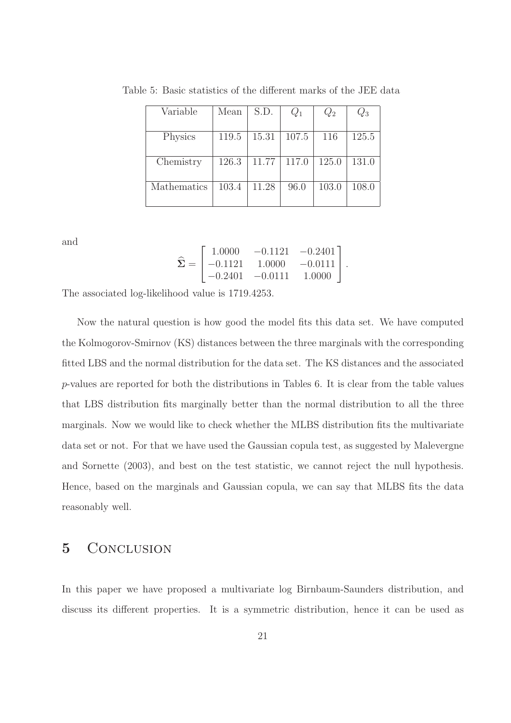| Variable    | Mean  | S.D.  | $\,Q_1$ | $Q_2$ | $\,_{3}$ |
|-------------|-------|-------|---------|-------|----------|
|             |       |       |         |       |          |
| Physics     | 119.5 | 15.31 | 107.5   | 116   | 125.5    |
|             |       |       |         |       |          |
| Chemistry   | 126.3 | 11.77 | 117.0   | 125.0 | 131.0    |
|             |       |       |         |       |          |
| Mathematics | 103.4 | 11.28 | 96.0    | 103.0 | 108.0    |
|             |       |       |         |       |          |

Table 5: Basic statistics of the different marks of the JEE data

and

$$
\widehat{\Sigma} = \begin{bmatrix} 1.0000 & -0.1121 & -0.2401 \\ -0.1121 & 1.0000 & -0.0111 \\ -0.2401 & -0.0111 & 1.0000 \end{bmatrix}.
$$

The associated log-likelihood value is 1719.4253.

Now the natural question is how good the model fits this data set. We have computed the Kolmogorov-Smirnov (KS) distances between the three marginals with the corresponding fitted LBS and the normal distribution for the data set. The KS distances and the associated p-values are reported for both the distributions in Tables 6. It is clear from the table values that LBS distribution fits marginally better than the normal distribution to all the three marginals. Now we would like to check whether the MLBS distribution fits the multivariate data set or not. For that we have used the Gaussian copula test, as suggested by Malevergne and Sornette (2003), and best on the test statistic, we cannot reject the null hypothesis. Hence, based on the marginals and Gaussian copula, we can say that MLBS fits the data reasonably well.

#### 5 CONCLUSION

In this paper we have proposed a multivariate log Birnbaum-Saunders distribution, and discuss its different properties. It is a symmetric distribution, hence it can be used as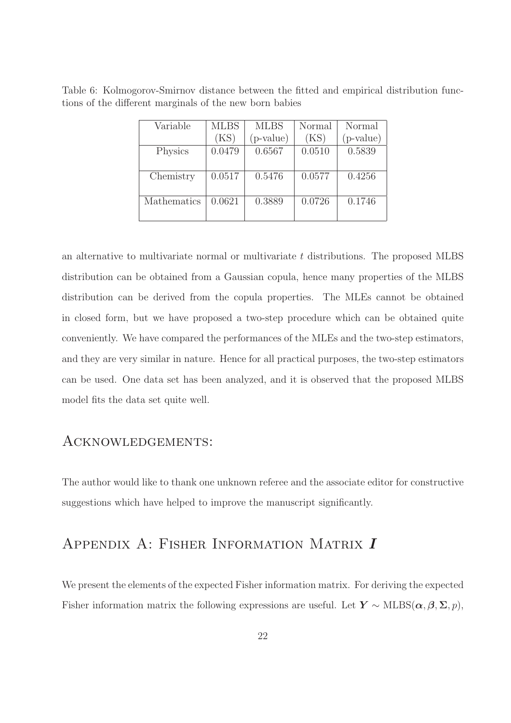| Table 6: Kolmogorov-Smirnov distance between the fitted and empirical distribution func- |  |  |  |  |  |
|------------------------------------------------------------------------------------------|--|--|--|--|--|
| tions of the different marginals of the new born babies                                  |  |  |  |  |  |

| Variable    | <b>MLBS</b> | <b>MLBS</b> | Normal | Normal      |
|-------------|-------------|-------------|--------|-------------|
|             | (KS)        | $(p-value)$ | (KS)   | $(p-value)$ |
| Physics     | 0.0479      | 0.6567      | 0.0510 | 0.5839      |
|             |             |             |        |             |
| Chemistry   | 0.0517      | 0.5476      | 0.0577 | 0.4256      |
|             |             |             |        |             |
| Mathematics | 0.0621      | 0.3889      | 0.0726 | 0.1746      |
|             |             |             |        |             |

an alternative to multivariate normal or multivariate t distributions. The proposed MLBS distribution can be obtained from a Gaussian copula, hence many properties of the MLBS distribution can be derived from the copula properties. The MLEs cannot be obtained in closed form, but we have proposed a two-step procedure which can be obtained quite conveniently. We have compared the performances of the MLEs and the two-step estimators, and they are very similar in nature. Hence for all practical purposes, the two-step estimators can be used. One data set has been analyzed, and it is observed that the proposed MLBS model fits the data set quite well.

#### Acknowledgements:

The author would like to thank one unknown referee and the associate editor for constructive suggestions which have helped to improve the manuscript significantly.

## Appendix A: Fisher Information Matrix I

We present the elements of the expected Fisher information matrix. For deriving the expected Fisher information matrix the following expressions are useful. Let  $Y \sim \text{MLBS}(\alpha, \beta, \Sigma, p)$ ,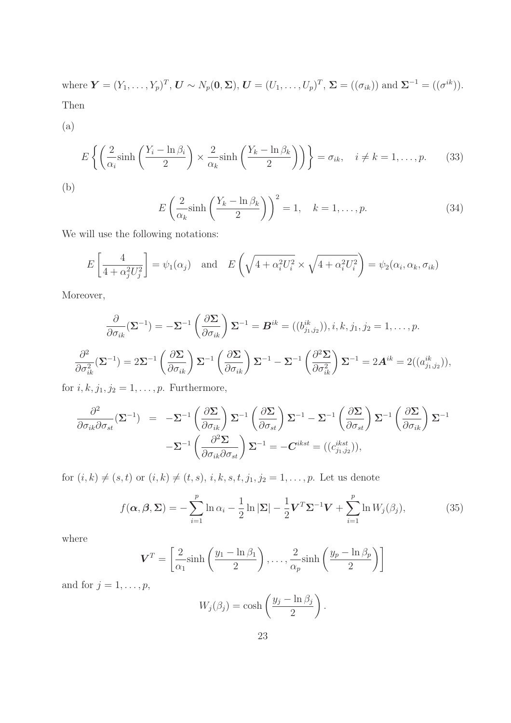where  $\mathbf{Y} = (Y_1, \ldots, Y_p)^T$ ,  $\mathbf{U} \sim N_p(\mathbf{0}, \mathbf{\Sigma})$ ,  $\mathbf{U} = (U_1, \ldots, U_p)^T$ ,  $\mathbf{\Sigma} = ((\sigma_{ik}))$  and  $\mathbf{\Sigma}^{-1} = ((\sigma^{ik}))$ . Then

(a)

$$
E\left\{ \left( \frac{2}{\alpha_i} \sinh\left( \frac{Y_i - \ln \beta_i}{2} \right) \times \frac{2}{\alpha_k} \sinh\left( \frac{Y_k - \ln \beta_k}{2} \right) \right) \right\} = \sigma_{ik}, \quad i \neq k = 1, \dots, p. \tag{33}
$$

$$
E\left(\frac{2}{\alpha_k}\sinh\left(\frac{Y_k - \ln \beta_k}{2}\right)\right)^2 = 1, \quad k = 1, \dots, p. \tag{34}
$$

We will use the following notations:

$$
E\left[\frac{4}{4+\alpha_j^2 U_j^2}\right] = \psi_1(\alpha_j) \quad \text{and} \quad E\left(\sqrt{4+\alpha_i^2 U_i^2} \times \sqrt{4+\alpha_i^2 U_i^2}\right) = \psi_2(\alpha_i, \alpha_k, \sigma_{ik})
$$

Moreover,

$$
\frac{\partial}{\partial \sigma_{ik}} (\mathbf{\Sigma}^{-1}) = -\mathbf{\Sigma}^{-1} \left( \frac{\partial \mathbf{\Sigma}}{\partial \sigma_{ik}} \right) \mathbf{\Sigma}^{-1} = \mathbf{B}^{ik} = ((b_{j_1, j_2}^{ik})) , i, k, j_1, j_2 = 1, ..., p.
$$

$$
\frac{\partial^2}{\partial \sigma_{ik}^2} (\mathbf{\Sigma}^{-1}) = 2\mathbf{\Sigma}^{-1} \left( \frac{\partial \mathbf{\Sigma}}{\partial \sigma_{ik}} \right) \mathbf{\Sigma}^{-1} \left( \frac{\partial \mathbf{\Sigma}}{\partial \sigma_{ik}} \right) \mathbf{\Sigma}^{-1} - \mathbf{\Sigma}^{-1} \left( \frac{\partial^2 \mathbf{\Sigma}}{\partial \sigma_{ik}^2} \right) \mathbf{\Sigma}^{-1} = 2\mathbf{A}^{ik} = 2((a_{j_1, j_2}^{ik})) ,
$$

for  $i, k, j_1, j_2 = 1, \ldots, p$ . Furthermore,

$$
\frac{\partial^2}{\partial \sigma_{ik} \partial \sigma_{st}} (\mathbf{\Sigma}^{-1}) = -\mathbf{\Sigma}^{-1} \left( \frac{\partial \mathbf{\Sigma}}{\partial \sigma_{ik}} \right) \mathbf{\Sigma}^{-1} \left( \frac{\partial \mathbf{\Sigma}}{\partial \sigma_{st}} \right) \mathbf{\Sigma}^{-1} - \mathbf{\Sigma}^{-1} \left( \frac{\partial \mathbf{\Sigma}}{\partial \sigma_{st}} \right) \mathbf{\Sigma}^{-1} \left( \frac{\partial \mathbf{\Sigma}}{\partial \sigma_{ik}} \right) \mathbf{\Sigma}^{-1}
$$

$$
-\mathbf{\Sigma}^{-1} \left( \frac{\partial^2 \mathbf{\Sigma}}{\partial \sigma_{ik} \partial \sigma_{st}} \right) \mathbf{\Sigma}^{-1} = -\mathbf{C}^{ikst} = ((c_{j_1, j_2}^{ikst})),
$$

for  $(i, k) \neq (s, t)$  or  $(i, k) \neq (t, s)$ ,  $i, k, s, t, j_1, j_2 = 1, ..., p$ . Let us denote

$$
f(\boldsymbol{\alpha}, \boldsymbol{\beta}, \boldsymbol{\Sigma}) = -\sum_{i=1}^{p} \ln \alpha_i - \frac{1}{2} \ln |\boldsymbol{\Sigma}| - \frac{1}{2} \mathbf{V}^T \boldsymbol{\Sigma}^{-1} \mathbf{V} + \sum_{i=1}^{p} \ln W_j(\beta_j), \tag{35}
$$

where

$$
\boldsymbol{V}^T = \left[\frac{2}{\alpha_1} \sinh\left(\frac{y_1 - \ln \beta_1}{2}\right), \dots, \frac{2}{\alpha_p} \sinh\left(\frac{y_p - \ln \beta_p}{2}\right)\right]
$$

and for  $j = 1, \ldots, p$ ,

$$
W_j(\beta_j) = \cosh\left(\frac{y_j - \ln \beta_j}{2}\right).
$$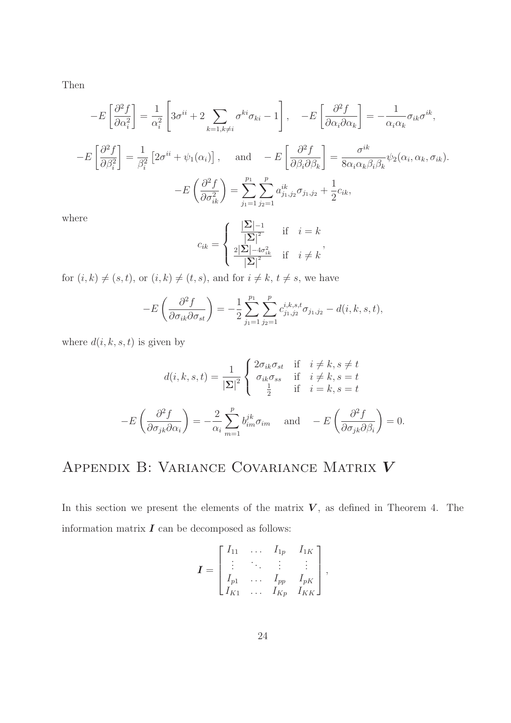Then

$$
-E\left[\frac{\partial^2 f}{\partial \alpha_i^2}\right] = \frac{1}{\alpha_i^2} \left[3\sigma^{ii} + 2\sum_{k=1, k\neq i} \sigma^{ki}\sigma_{ki} - 1\right], \quad -E\left[\frac{\partial^2 f}{\partial \alpha_i \partial \alpha_k}\right] = -\frac{1}{\alpha_i \alpha_k} \sigma_{ik}\sigma^{ik},
$$

$$
-E\left[\frac{\partial^2 f}{\partial \beta_i^2}\right] = \frac{1}{\beta_i^2} \left[2\sigma^{ii} + \psi_1(\alpha_i)\right], \quad \text{and} \quad -E\left[\frac{\partial^2 f}{\partial \beta_i \partial \beta_k}\right] = \frac{\sigma^{ik}}{8\alpha_i \alpha_k \beta_i \beta_k} \psi_2(\alpha_i, \alpha_k, \sigma_{ik}).
$$

$$
-E\left(\frac{\partial^2 f}{\partial \sigma_{ik}^2}\right) = \sum_{j_1=1}^{p_1} \sum_{j_2=1}^p a_{j_1,j_2}^{ik} \sigma_{j_1,j_2} + \frac{1}{2} c_{ik},
$$

where

$$
c_{ik} = \begin{cases} \frac{|\Sigma| - 1}{|\Sigma|^2} & \text{if } i = k \\ \frac{2|\Sigma| - 4\sigma_{ik}^2}{|\Sigma|^2} & \text{if } i \neq k \end{cases}
$$

for  $(i, k) \neq (s, t)$ , or  $(i, k) \neq (t, s)$ , and for  $i \neq k$ ,  $t \neq s$ , we have

$$
-E\left(\frac{\partial^2 f}{\partial \sigma_{ik}\partial \sigma_{st}}\right) = -\frac{1}{2} \sum_{j_1=1}^{p_1} \sum_{j_2=1}^p c_{j_1,j_2}^{i,k,s,t} \sigma_{j_1,j_2} - d(i,k,s,t),
$$

where  $d(i, k, s, t)$  is given by

$$
d(i,k,s,t) = \frac{1}{|\Sigma|^2} \begin{cases} 2\sigma_{ik}\sigma_{st} & \text{if } i \neq k, s \neq t \\ \sigma_{ik}\sigma_{ss} & \text{if } i \neq k, s = t \\ \frac{1}{2} & \text{if } i = k, s = t \end{cases}
$$

$$
-E\left(\frac{\partial^2 f}{\partial \sigma_{jk}\partial \alpha_i}\right) = -\frac{2}{\alpha_i} \sum_{m=1}^p b_{im}^{jk} \sigma_{im} \quad \text{and} \quad -E\left(\frac{\partial^2 f}{\partial \sigma_{jk}\partial \beta_i}\right) = 0.
$$

## Appendix B: Variance Covariance Matrix V

In this section we present the elements of the matrix  $V$ , as defined in Theorem 4. The information matrix  $\boldsymbol{I}$  can be decomposed as follows:

$$
\boldsymbol{I} = \begin{bmatrix} I_{11} & \cdots & I_{1p} & I_{1K} \\ \vdots & \ddots & \vdots & \vdots \\ I_{p1} & \cdots & I_{pp} & I_{pK} \\ I_{K1} & \cdots & I_{Kp} & I_{KK} \end{bmatrix},
$$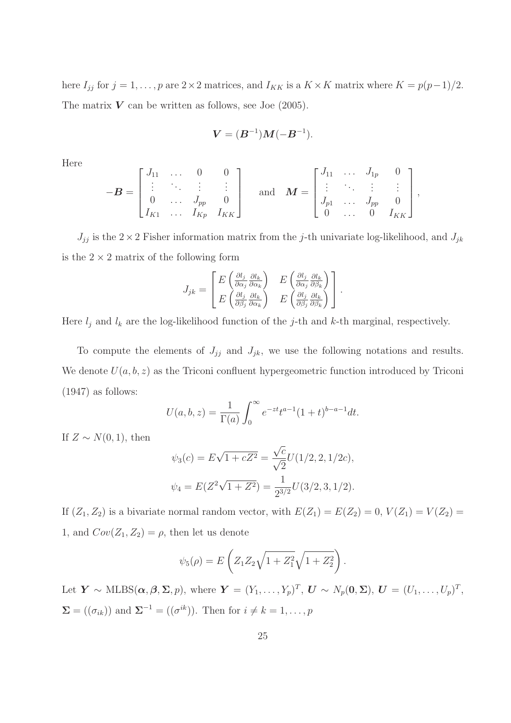here  $I_{jj}$  for  $j = 1, \ldots, p$  are 2×2 matrices, and  $I_{KK}$  is a  $K \times K$  matrix where  $K = p(p-1)/2$ . The matrix  $V$  can be written as follows, see Joe (2005).

$$
V = (B^{-1})M(-B^{-1}).
$$

Here

$$
-\boldsymbol{B} = \begin{bmatrix} J_{11} & \dots & 0 & 0 \\ \vdots & \ddots & \vdots & \vdots \\ 0 & \dots & J_{pp} & 0 \\ I_{K1} & \dots & I_{Kp} & I_{KK} \end{bmatrix} \text{ and } \boldsymbol{M} = \begin{bmatrix} J_{11} & \dots & J_{1p} & 0 \\ \vdots & \ddots & \vdots & \vdots \\ J_{p1} & \dots & J_{pp} & 0 \\ 0 & \dots & 0 & I_{KK} \end{bmatrix},
$$

 $J_{jj}$  is the  $2 \times 2$  Fisher information matrix from the j-th univariate log-likelihood, and  $J_{jk}$ is the  $2 \times 2$  matrix of the following form

$$
J_{jk} = \begin{bmatrix} E \left( \frac{\partial l_j}{\partial \alpha_j} \frac{\partial l_k}{\partial \alpha_k} \right) & E \left( \frac{\partial l_j}{\partial \alpha_j} \frac{\partial l_k}{\partial \beta_k} \right) \\ E \left( \frac{\partial l_j}{\partial \beta_j} \frac{\partial l_k}{\partial \alpha_k} \right) & E \left( \frac{\partial l_j}{\partial \beta_j} \frac{\partial l_k}{\partial \beta_k} \right) \end{bmatrix}.
$$

Here  $l_j$  and  $l_k$  are the log-likelihood function of the j-th and k-th marginal, respectively.

To compute the elements of  $J_{jj}$  and  $J_{jk}$ , we use the following notations and results. We denote  $U(a, b, z)$  as the Triconi confluent hypergeometric function introduced by Triconi (1947) as follows:

$$
U(a, b, z) = \frac{1}{\Gamma(a)} \int_0^\infty e^{-zt} t^{a-1} (1+t)^{b-a-1} dt.
$$

If  $Z \sim N(0, 1)$ , then

$$
\psi_3(c) = E\sqrt{1 + cZ^2} = \frac{\sqrt{c}}{\sqrt{2}}U(1/2, 2, 1/2c),
$$
  

$$
\psi_4 = E(Z^2\sqrt{1 + Z^2}) = \frac{1}{2^{3/2}}U(3/2, 3, 1/2).
$$

If  $(Z_1, Z_2)$  is a bivariate normal random vector, with  $E(Z_1) = E(Z_2) = 0$ ,  $V(Z_1) = V(Z_2) =$ 1, and  $Cov(Z_1, Z_2) = \rho$ , then let us denote

$$
\psi_5(\rho) = E\left(Z_1 Z_2 \sqrt{1 + Z_1^2} \sqrt{1 + Z_2^2}\right).
$$

Let  $\mathbf{Y} \sim \text{MLBS}(\boldsymbol{\alpha}, \boldsymbol{\beta}, \boldsymbol{\Sigma}, p)$ , where  $\mathbf{Y} = (Y_1, \ldots, Y_p)^T$ ,  $\mathbf{U} \sim N_p(\mathbf{0}, \boldsymbol{\Sigma})$ ,  $\mathbf{U} = (U_1, \ldots, U_p)^T$ ,  $\Sigma = ((\sigma_{ik}))$  and  $\Sigma^{-1} = ((\sigma^{ik}))$ . Then for  $i \neq k = 1, ..., p$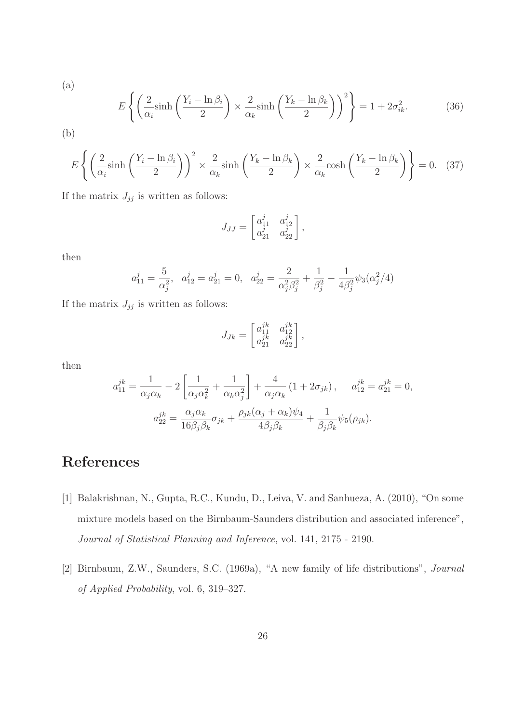(a)  
\n
$$
E\left\{ \left( \frac{2}{\alpha_i} \sinh\left( \frac{Y_i - \ln \beta_i}{2} \right) \times \frac{2}{\alpha_k} \sinh\left( \frac{Y_k - \ln \beta_k}{2} \right) \right)^2 \right\} = 1 + 2\sigma_{ik}^2.
$$
\n(b)

$$
E\left\{ \left(\frac{2}{\alpha_i} \sinh\left(\frac{Y_i - \ln \beta_i}{2}\right)\right)^2 \times \frac{2}{\alpha_k} \sinh\left(\frac{Y_k - \ln \beta_k}{2}\right) \times \frac{2}{\alpha_k} \cosh\left(\frac{Y_k - \ln \beta_k}{2}\right) \right\} = 0. \quad (37)
$$

If the matrix  $J_{jj}$  is written as follows:

$$
J_{JJ} = \begin{bmatrix} a_{11}^j & a_{12}^j \\ a_{21}^j & a_{22}^j \end{bmatrix},
$$

then

$$
a_{11}^j = \frac{5}{\alpha_j^2}
$$
,  $a_{12}^j = a_{21}^j = 0$ ,  $a_{22}^j = \frac{2}{\alpha_j^2 \beta_j^2} + \frac{1}{\beta_j^2} - \frac{1}{4\beta_j^2} \psi_3(\alpha_j^2/4)$ 

If the matrix  $J_{jj}$  is written as follows:

$$
J_{Jk} = \begin{bmatrix} a_{11}^{jk} & a_{12}^{jk} \\ a_{21}^{jk} & a_{22}^{jk} \end{bmatrix},
$$

then

$$
a_{11}^{jk} = \frac{1}{\alpha_j \alpha_k} - 2 \left[ \frac{1}{\alpha_j \alpha_k^2} + \frac{1}{\alpha_k \alpha_j^2} \right] + \frac{4}{\alpha_j \alpha_k} \left( 1 + 2\sigma_{jk} \right), \quad a_{12}^{jk} = a_{21}^{jk} = 0,
$$

$$
a_{22}^{jk} = \frac{\alpha_j \alpha_k}{16\beta_j \beta_k} \sigma_{jk} + \frac{\rho_{jk} (\alpha_j + \alpha_k) \psi_4}{4\beta_j \beta_k} + \frac{1}{\beta_j \beta_k} \psi_5(\rho_{jk}).
$$

## References

- [1] Balakrishnan, N., Gupta, R.C., Kundu, D., Leiva, V. and Sanhueza, A. (2010), "On some mixture models based on the Birnbaum-Saunders distribution and associated inference", Journal of Statistical Planning and Inference, vol. 141, 2175 - 2190.
- [2] Birnbaum, Z.W., Saunders, S.C. (1969a), "A new family of life distributions", Journal of Applied Probability, vol. 6, 319–327.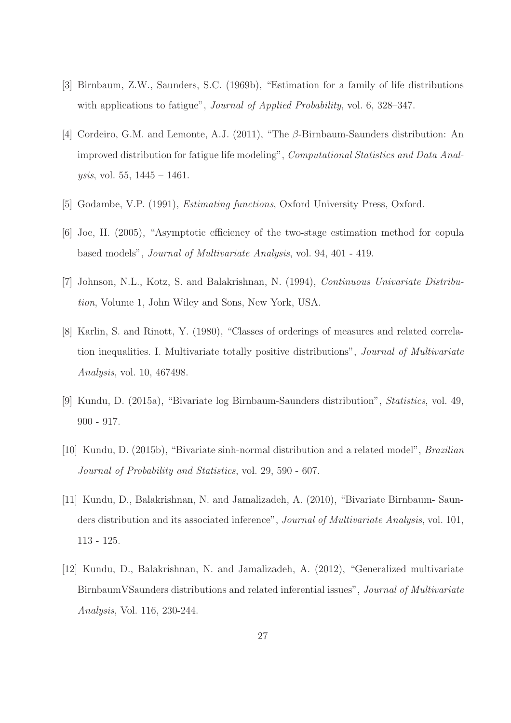- [3] Birnbaum, Z.W., Saunders, S.C. (1969b), "Estimation for a family of life distributions with applications to fatigue", *Journal of Applied Probability*, vol. 6, 328–347.
- [4] Cordeiro, G.M. and Lemonte, A.J. (2011), "The β-Birnbaum-Saunders distribution: An improved distribution for fatigue life modeling", Computational Statistics and Data Anal*ysis*, vol. 55,  $1445 - 1461$ .
- [5] Godambe, V.P. (1991), Estimating functions, Oxford University Press, Oxford.
- [6] Joe, H. (2005), "Asymptotic efficiency of the two-stage estimation method for copula based models", Journal of Multivariate Analysis, vol. 94, 401 - 419.
- [7] Johnson, N.L., Kotz, S. and Balakrishnan, N. (1994), Continuous Univariate Distribution, Volume 1, John Wiley and Sons, New York, USA.
- [8] Karlin, S. and Rinott, Y. (1980), "Classes of orderings of measures and related correlation inequalities. I. Multivariate totally positive distributions", Journal of Multivariate Analysis, vol. 10, 467498.
- [9] Kundu, D. (2015a), "Bivariate log Birnbaum-Saunders distribution", Statistics, vol. 49, 900 - 917.
- [10] Kundu, D. (2015b), "Bivariate sinh-normal distribution and a related model", Brazilian Journal of Probability and Statistics, vol. 29, 590 - 607.
- [11] Kundu, D., Balakrishnan, N. and Jamalizadeh, A. (2010), "Bivariate Birnbaum- Saunders distribution and its associated inference", *Journal of Multivariate Analysis*, vol. 101, 113 - 125.
- [12] Kundu, D., Balakrishnan, N. and Jamalizadeh, A. (2012), "Generalized multivariate BirnbaumVSaunders distributions and related inferential issues", Journal of Multivariate Analysis, Vol. 116, 230-244.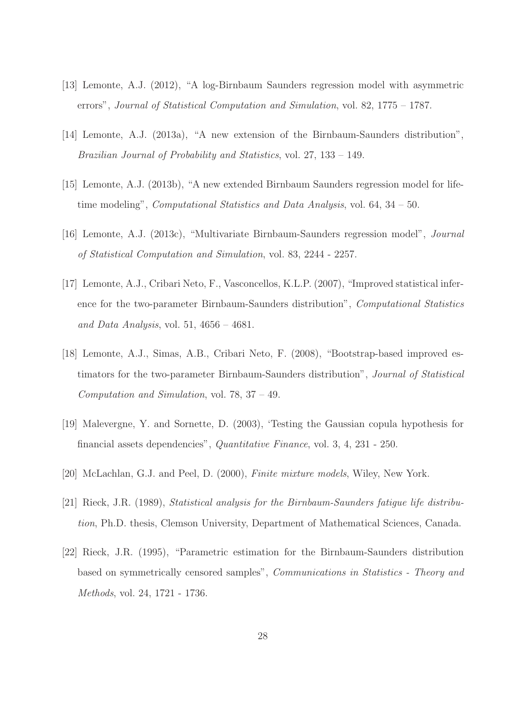- [13] Lemonte, A.J. (2012), "A log-Birnbaum Saunders regression model with asymmetric errors", Journal of Statistical Computation and Simulation, vol. 82, 1775 – 1787.
- [14] Lemonte, A.J. (2013a), "A new extension of the Birnbaum-Saunders distribution", Brazilian Journal of Probability and Statistics, vol. 27, 133 – 149.
- [15] Lemonte, A.J. (2013b), "A new extended Birnbaum Saunders regression model for lifetime modeling", Computational Statistics and Data Analysis, vol. 64, 34 – 50.
- [16] Lemonte, A.J. (2013c), "Multivariate Birnbaum-Saunders regression model", Journal of Statistical Computation and Simulation, vol. 83, 2244 - 2257.
- [17] Lemonte, A.J., Cribari Neto, F., Vasconcellos, K.L.P. (2007), "Improved statistical inference for the two-parameter Birnbaum-Saunders distribution", Computational Statistics and Data Analysis, vol. 51,  $4656 - 4681$ .
- [18] Lemonte, A.J., Simas, A.B., Cribari Neto, F. (2008), "Bootstrap-based improved estimators for the two-parameter Birnbaum-Saunders distribution", Journal of Statistical Computation and Simulation, vol. 78, 37 – 49.
- [19] Malevergne, Y. and Sornette, D. (2003), 'Testing the Gaussian copula hypothesis for financial assets dependencies", Quantitative Finance, vol. 3, 4, 231 - 250.
- [20] McLachlan, G.J. and Peel, D. (2000), Finite mixture models, Wiley, New York.
- [21] Rieck, J.R. (1989), Statistical analysis for the Birnbaum-Saunders fatigue life distribution, Ph.D. thesis, Clemson University, Department of Mathematical Sciences, Canada.
- [22] Rieck, J.R. (1995), "Parametric estimation for the Birnbaum-Saunders distribution based on symmetrically censored samples", Communications in Statistics - Theory and Methods, vol. 24, 1721 - 1736.